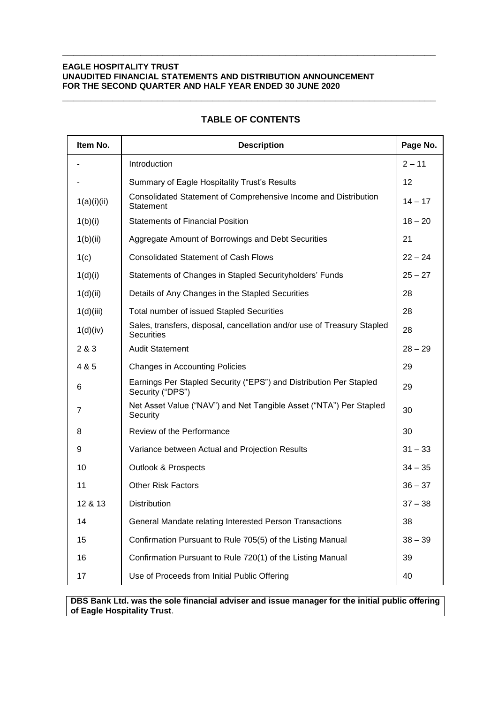| Item No.    | <b>Description</b>                                                                           | Page No.  |
|-------------|----------------------------------------------------------------------------------------------|-----------|
|             | Introduction                                                                                 | $2 - 11$  |
|             | Summary of Eagle Hospitality Trust's Results                                                 | 12        |
| 1(a)(i)(ii) | Consolidated Statement of Comprehensive Income and Distribution<br>Statement                 | $14 - 17$ |
| 1(b)(i)     | <b>Statements of Financial Position</b>                                                      | $18 - 20$ |
| 1(b)(ii)    | Aggregate Amount of Borrowings and Debt Securities                                           | 21        |
| 1(c)        | <b>Consolidated Statement of Cash Flows</b>                                                  | $22 - 24$ |
| 1(d)(i)     | Statements of Changes in Stapled Securityholders' Funds                                      | $25 - 27$ |
| 1(d)(ii)    | Details of Any Changes in the Stapled Securities                                             | 28        |
| 1(d)(iii)   | Total number of issued Stapled Securities                                                    | 28        |
| 1(d)(iv)    | Sales, transfers, disposal, cancellation and/or use of Treasury Stapled<br><b>Securities</b> | 28        |
| 2 & 3       | <b>Audit Statement</b>                                                                       | $28 - 29$ |
| 4 & 5       | <b>Changes in Accounting Policies</b>                                                        | 29        |
| 6           | Earnings Per Stapled Security ("EPS") and Distribution Per Stapled<br>Security ("DPS")       | 29        |
| 7           | Net Asset Value ("NAV") and Net Tangible Asset ("NTA") Per Stapled<br>Security               | 30        |
| 8           | Review of the Performance                                                                    | 30        |
| 9           | Variance between Actual and Projection Results                                               | $31 - 33$ |
| 10          | <b>Outlook &amp; Prospects</b>                                                               | $34 - 35$ |
| 11          | <b>Other Risk Factors</b>                                                                    | $36 - 37$ |
| 12 & 13     | <b>Distribution</b>                                                                          | $37 - 38$ |
| 14          | General Mandate relating Interested Person Transactions                                      | 38        |
| 15          | Confirmation Pursuant to Rule 705(5) of the Listing Manual                                   | $38 - 39$ |
| 16          | Confirmation Pursuant to Rule 720(1) of the Listing Manual                                   | 39        |
| 17          | Use of Proceeds from Initial Public Offering                                                 | 40        |

# **TABLE OF CONTENTS**

**\_\_\_\_\_\_\_\_\_\_\_\_\_\_\_\_\_\_\_\_\_\_\_\_\_\_\_\_\_\_\_\_\_\_\_\_\_\_\_\_\_\_\_\_\_\_\_\_\_\_\_\_\_\_\_\_\_\_\_\_\_\_\_\_\_\_\_**

**\_\_\_\_\_\_\_\_\_\_\_\_\_\_\_\_\_\_\_\_\_\_\_\_\_\_\_\_\_\_\_\_\_\_\_\_\_\_\_\_\_\_\_\_\_\_\_\_\_\_\_\_\_\_\_\_\_\_\_\_\_\_\_\_\_\_\_**

**DBS Bank Ltd. was the sole financial adviser and issue manager for the initial public offering of Eagle Hospitality Trust**.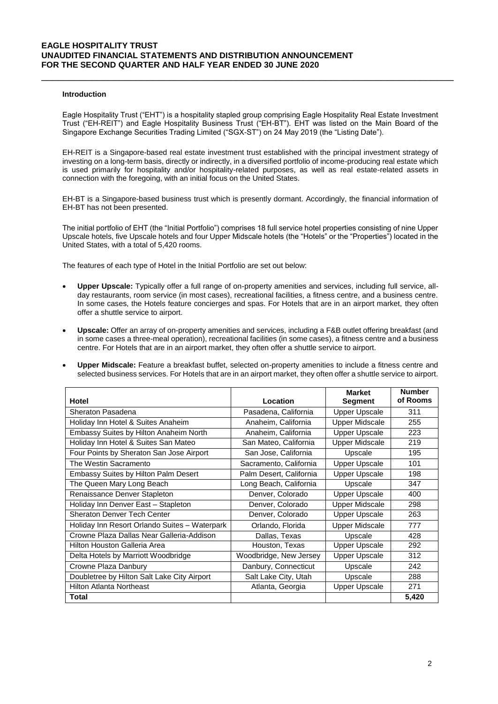#### **Introduction**

Eagle Hospitality Trust ("EHT") is a hospitality stapled group comprising Eagle Hospitality Real Estate Investment Trust ("EH-REIT") and Eagle Hospitality Business Trust ("EH-BT"). EHT was listed on the Main Board of the Singapore Exchange Securities Trading Limited ("SGX-ST") on 24 May 2019 (the "Listing Date").

\_\_\_\_\_\_\_\_\_\_\_\_\_\_\_\_\_\_\_\_\_\_\_\_\_\_\_\_\_\_\_\_\_\_\_\_\_\_\_\_\_\_\_\_\_\_\_\_\_\_\_\_\_\_\_\_\_\_\_\_\_\_\_\_\_\_\_\_\_\_\_\_\_\_

EH-REIT is a Singapore-based real estate investment trust established with the principal investment strategy of investing on a long-term basis, directly or indirectly, in a diversified portfolio of income-producing real estate which is used primarily for hospitality and/or hospitality-related purposes, as well as real estate-related assets in connection with the foregoing, with an initial focus on the United States.

EH-BT is a Singapore-based business trust which is presently dormant. Accordingly, the financial information of EH-BT has not been presented.

The initial portfolio of EHT (the "Initial Portfolio") comprises 18 full service hotel properties consisting of nine Upper Upscale hotels, five Upscale hotels and four Upper Midscale hotels (the "Hotels" or the "Properties") located in the United States, with a total of 5,420 rooms.

The features of each type of Hotel in the Initial Portfolio are set out below:

- **Upper Upscale:** Typically offer a full range of on-property amenities and services, including full service, allday restaurants, room service (in most cases), recreational facilities, a fitness centre, and a business centre. In some cases, the Hotels feature concierges and spas. For Hotels that are in an airport market, they often offer a shuttle service to airport.
- **Upscale:** Offer an array of on-property amenities and services, including a F&B outlet offering breakfast (and in some cases a three-meal operation), recreational facilities (in some cases), a fitness centre and a business centre. For Hotels that are in an airport market, they often offer a shuttle service to airport.
- **Upper Midscale:** Feature a breakfast buffet, selected on-property amenities to include a fitness centre and selected business services. For Hotels that are in an airport market, they often offer a shuttle service to airport.

|                                               |                         | <b>Market</b>         | <b>Number</b> |
|-----------------------------------------------|-------------------------|-----------------------|---------------|
| Hotel                                         | Location                | <b>Segment</b>        | of Rooms      |
| Sheraton Pasadena                             | Pasadena, California    | <b>Upper Upscale</b>  | 311           |
| Holiday Inn Hotel & Suites Anaheim            | Anaheim, California     | Upper Midscale        | 255           |
| Embassy Suites by Hilton Anaheim North        | Anaheim, California     | <b>Upper Upscale</b>  | 223           |
| Holiday Inn Hotel & Suites San Mateo          | San Mateo, California   | <b>Upper Midscale</b> | 219           |
| Four Points by Sheraton San Jose Airport      | San Jose, California    | Upscale               | 195           |
| The Westin Sacramento                         | Sacramento, California  | <b>Upper Upscale</b>  | 101           |
| <b>Embassy Suites by Hilton Palm Desert</b>   | Palm Desert, California | <b>Upper Upscale</b>  | 198           |
| The Queen Mary Long Beach                     | Long Beach, California  | Upscale               | 347           |
| Renaissance Denver Stapleton                  | Denver, Colorado        | <b>Upper Upscale</b>  | 400           |
| Holiday Inn Denver East - Stapleton           | Denver, Colorado        | <b>Upper Midscale</b> | 298           |
| <b>Sheraton Denver Tech Center</b>            | Denver, Colorado        | <b>Upper Upscale</b>  | 263           |
| Holiday Inn Resort Orlando Suites - Waterpark | Orlando, Florida        | <b>Upper Midscale</b> | 777           |
| Crowne Plaza Dallas Near Galleria-Addison     | Dallas, Texas           | Upscale               | 428           |
| Hilton Houston Galleria Area                  | Houston, Texas          | <b>Upper Upscale</b>  | 292           |
| Delta Hotels by Marriott Woodbridge           | Woodbridge, New Jersey  | Upper Upscale         | 312           |
| Crowne Plaza Danbury                          | Danbury, Connecticut    | Upscale               | 242           |
| Doubletree by Hilton Salt Lake City Airport   | Salt Lake City, Utah    | Upscale               | 288           |
| Hilton Atlanta Northeast                      | Atlanta, Georgia        | <b>Upper Upscale</b>  | 271           |
| Total                                         |                         |                       | 5,420         |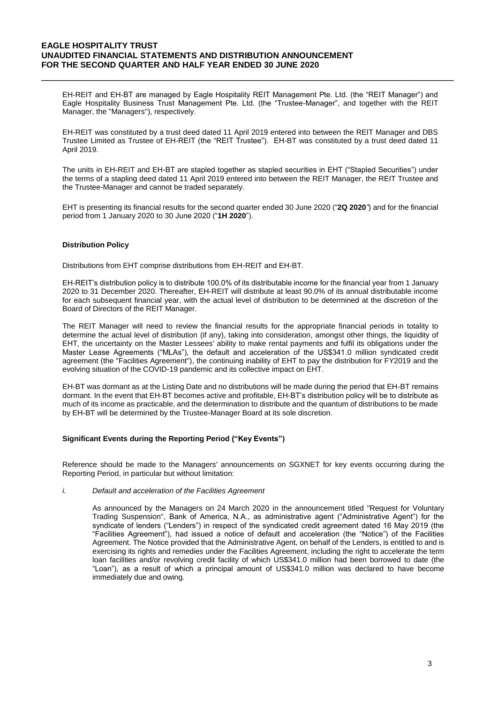EH-REIT and EH-BT are managed by Eagle Hospitality REIT Management Pte. Ltd. (the "REIT Manager") and Eagle Hospitality Business Trust Management Pte. Ltd. (the "Trustee-Manager", and together with the REIT Manager, the "Managers"), respectively.

\_\_\_\_\_\_\_\_\_\_\_\_\_\_\_\_\_\_\_\_\_\_\_\_\_\_\_\_\_\_\_\_\_\_\_\_\_\_\_\_\_\_\_\_\_\_\_\_\_\_\_\_\_\_\_\_\_\_\_\_\_\_\_\_\_\_\_\_\_\_\_\_\_\_

EH-REIT was constituted by a trust deed dated 11 April 2019 entered into between the REIT Manager and DBS Trustee Limited as Trustee of EH-REIT (the "REIT Trustee"). EH-BT was constituted by a trust deed dated 11 April 2019.

The units in EH-REIT and EH-BT are stapled together as stapled securities in EHT ("Stapled Securities") under the terms of a stapling deed dated 11 April 2019 entered into between the REIT Manager, the REIT Trustee and the Trustee-Manager and cannot be traded separately.

EHT is presenting its financial results for the second quarter ended 30 June 2020 ("**2Q 2020***"*) and for the financial period from 1 January 2020 to 30 June 2020 ("**1H 2020**").

## **Distribution Policy**

Distributions from EHT comprise distributions from EH-REIT and EH-BT.

EH-REIT's distribution policy is to distribute 100.0% of its distributable income for the financial year from 1 January 2020 to 31 December 2020. Thereafter, EH-REIT will distribute at least 90.0% of its annual distributable income for each subsequent financial year, with the actual level of distribution to be determined at the discretion of the Board of Directors of the REIT Manager.

The REIT Manager will need to review the financial results for the appropriate financial periods in totality to determine the actual level of distribution (if any), taking into consideration, amongst other things, the liquidity of EHT, the uncertainty on the Master Lessees' ability to make rental payments and fulfil its obligations under the Master Lease Agreements ("MLAs"), the default and acceleration of the US\$341.0 million syndicated credit agreement (the "Facilities Agreement"), the continuing inability of EHT to pay the distribution for FY2019 and the evolving situation of the COVID-19 pandemic and its collective impact on EHT.

EH-BT was dormant as at the Listing Date and no distributions will be made during the period that EH-BT remains dormant. In the event that EH-BT becomes active and profitable, EH-BT's distribution policy will be to distribute as much of its income as practicable, and the determination to distribute and the quantum of distributions to be made by EH-BT will be determined by the Trustee-Manager Board at its sole discretion.

### **Significant Events during the Reporting Period ("Key Events")**

Reference should be made to the Managers' announcements on SGXNET for key events occurring during the Reporting Period, in particular but without limitation:

### *i. Default and acceleration of the Facilities Agreement*

As announced by the Managers on 24 March 2020 in the announcement titled "Request for Voluntary Trading Suspension", Bank of America, N.A., as administrative agent ("Administrative Agent") for the syndicate of lenders ("Lenders") in respect of the syndicated credit agreement dated 16 May 2019 (the "Facilities Agreement"), had issued a notice of default and acceleration (the "Notice") of the Facilities Agreement. The Notice provided that the Administrative Agent, on behalf of the Lenders, is entitled to and is exercising its rights and remedies under the Facilities Agreement, including the right to accelerate the term loan facilities and/or revolving credit facility of which US\$341.0 million had been borrowed to date (the "Loan"), as a result of which a principal amount of US\$341.0 million was declared to have become immediately due and owing.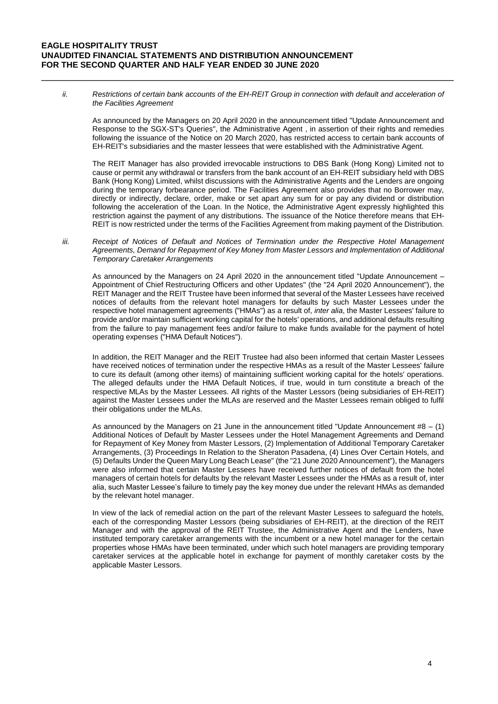*ii.* Restrictions of certain bank accounts of the EH-REIT Group in connection with default and acceleration of *the Facilities Agreement*

\_\_\_\_\_\_\_\_\_\_\_\_\_\_\_\_\_\_\_\_\_\_\_\_\_\_\_\_\_\_\_\_\_\_\_\_\_\_\_\_\_\_\_\_\_\_\_\_\_\_\_\_\_\_\_\_\_\_\_\_\_\_\_\_\_\_\_\_\_\_\_\_\_\_

As announced by the Managers on 20 April 2020 in the announcement titled "Update Announcement and Response to the SGX-ST's Queries", the Administrative Agent , in assertion of their rights and remedies following the issuance of the Notice on 20 March 2020, has restricted access to certain bank accounts of EH-REIT's subsidiaries and the master lessees that were established with the Administrative Agent.

The REIT Manager has also provided irrevocable instructions to DBS Bank (Hong Kong) Limited not to cause or permit any withdrawal or transfers from the bank account of an EH-REIT subsidiary held with DBS Bank (Hong Kong) Limited, whilst discussions with the Administrative Agents and the Lenders are ongoing during the temporary forbearance period. The Facilities Agreement also provides that no Borrower may, directly or indirectly, declare, order, make or set apart any sum for or pay any dividend or distribution following the acceleration of the Loan. In the Notice, the Administrative Agent expressly highlighted this restriction against the payment of any distributions. The issuance of the Notice therefore means that EH-REIT is now restricted under the terms of the Facilities Agreement from making payment of the Distribution.

*iii. Receipt of Notices of Default and Notices of Termination under the Respective Hotel Management Agreements, Demand for Repayment of Key Money from Master Lessors and Implementation of Additional Temporary Caretaker Arrangements*

As announced by the Managers on 24 April 2020 in the announcement titled "Update Announcement – Appointment of Chief Restructuring Officers and other Updates" (the "24 April 2020 Announcement"), the REIT Manager and the REIT Trustee have been informed that several of the Master Lessees have received notices of defaults from the relevant hotel managers for defaults by such Master Lessees under the respective hotel management agreements ("HMAs") as a result of, *inter alia*, the Master Lessees' failure to provide and/or maintain sufficient working capital for the hotels' operations, and additional defaults resulting from the failure to pay management fees and/or failure to make funds available for the payment of hotel operating expenses ("HMA Default Notices").

In addition, the REIT Manager and the REIT Trustee had also been informed that certain Master Lessees have received notices of termination under the respective HMAs as a result of the Master Lessees' failure to cure its default (among other items) of maintaining sufficient working capital for the hotels' operations. The alleged defaults under the HMA Default Notices, if true, would in turn constitute a breach of the respective MLAs by the Master Lessees. All rights of the Master Lessors (being subsidiaries of EH-REIT) against the Master Lessees under the MLAs are reserved and the Master Lessees remain obliged to fulfil their obligations under the MLAs.

As announced by the Managers on 21 June in the announcement titled "Update Announcement #8 – (1) Additional Notices of Default by Master Lessees under the Hotel Management Agreements and Demand for Repayment of Key Money from Master Lessors, (2) Implementation of Additional Temporary Caretaker Arrangements, (3) Proceedings In Relation to the Sheraton Pasadena, (4) Lines Over Certain Hotels, and (5) Defaults Under the Queen Mary Long Beach Lease" (the "21 June 2020 Announcement"), the Managers were also informed that certain Master Lessees have received further notices of default from the hotel managers of certain hotels for defaults by the relevant Master Lessees under the HMAs as a result of, inter alia, such Master Lessee's failure to timely pay the key money due under the relevant HMAs as demanded by the relevant hotel manager.

In view of the lack of remedial action on the part of the relevant Master Lessees to safeguard the hotels, each of the corresponding Master Lessors (being subsidiaries of EH-REIT), at the direction of the REIT Manager and with the approval of the REIT Trustee, the Administrative Agent and the Lenders, have instituted temporary caretaker arrangements with the incumbent or a new hotel manager for the certain properties whose HMAs have been terminated, under which such hotel managers are providing temporary caretaker services at the applicable hotel in exchange for payment of monthly caretaker costs by the applicable Master Lessors.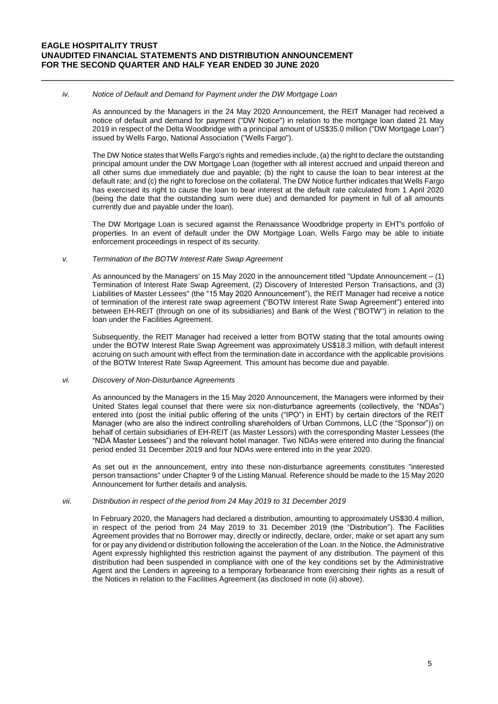#### *iv. Notice of Default and Demand for Payment under the DW Mortgage Loan*

As announced by the Managers in the 24 May 2020 Announcement, the REIT Manager had received a notice of default and demand for payment ("DW Notice") in relation to the mortgage loan dated 21 May 2019 in respect of the Delta Woodbridge with a principal amount of US\$35.0 million ("DW Mortgage Loan") issued by Wells Fargo, National Association ("Wells Fargo").

\_\_\_\_\_\_\_\_\_\_\_\_\_\_\_\_\_\_\_\_\_\_\_\_\_\_\_\_\_\_\_\_\_\_\_\_\_\_\_\_\_\_\_\_\_\_\_\_\_\_\_\_\_\_\_\_\_\_\_\_\_\_\_\_\_\_\_\_\_\_\_\_\_\_

The DW Notice states that Wells Fargo's rights and remedies include, (a) the right to declare the outstanding principal amount under the DW Mortgage Loan (together with all interest accrued and unpaid thereon and all other sums due immediately due and payable; (b) the right to cause the loan to bear interest at the default rate; and (c) the right to foreclose on the collateral. The DW Notice further indicates that Wells Fargo has exercised its right to cause the loan to bear interest at the default rate calculated from 1 April 2020 (being the date that the outstanding sum were due) and demanded for payment in full of all amounts currently due and payable under the loan).

The DW Mortgage Loan is secured against the Renaissance Woodbridge property in EHT's portfolio of properties. In an event of default under the DW Mortgage Loan, Wells Fargo may be able to initiate enforcement proceedings in respect of its security.

#### *v. Termination of the BOTW Interest Rate Swap Agreement*

As announced by the Managers' on 15 May 2020 in the announcement titled "Update Announcement – (1) Termination of Interest Rate Swap Agreement, (2) Discovery of Interested Person Transactions, and (3) Liabilities of Master Lessees" (the "15 May 2020 Announcement"), the REIT Manager had receive a notice of termination of the interest rate swap agreement ("BOTW Interest Rate Swap Agreement") entered into between EH-REIT (through on one of its subsidiaries) and Bank of the West ("BOTW") in relation to the loan under the Facilities Agreement.

Subsequently, the REIT Manager had received a letter from BOTW stating that the total amounts owing under the BOTW Interest Rate Swap Agreement was approximately US\$18.3 million, with default interest accruing on such amount with effect from the termination date in accordance with the applicable provisions of the BOTW Interest Rate Swap Agreement. This amount has become due and payable.

#### *vi. Discovery of Non-Disturbance Agreements*

As announced by the Managers in the 15 May 2020 Announcement, the Managers were informed by their United States legal counsel that there were six non-disturbance agreements (collectively, the "NDAs") entered into (post the initial public offering of the units ("IPO") in EHT) by certain directors of the REIT Manager (who are also the indirect controlling shareholders of Urban Commons, LLC (the "Sponsor")) on behalf of certain subsidiaries of EH-REIT (as Master Lessors) with the corresponding Master Lessees (the "NDA Master Lessees") and the relevant hotel manager. Two NDAs were entered into during the financial period ended 31 December 2019 and four NDAs were entered into in the year 2020.

As set out in the announcement, entry into these non-disturbance agreements constitutes "interested person transactions" under Chapter 9 of the Listing Manual. Reference should be made to the 15 May 2020 Announcement for further details and analysis.

### *vii. Distribution in respect of the period from 24 May 2019 to 31 December 2019*

In February 2020, the Managers had declared a distribution, amounting to approximately US\$30.4 million, in respect of the period from 24 May 2019 to 31 December 2019 (the "Distribution"). The Facilities Agreement provides that no Borrower may, directly or indirectly, declare, order, make or set apart any sum for or pay any dividend or distribution following the acceleration of the Loan. In the Notice, the Administrative Agent expressly highlighted this restriction against the payment of any distribution. The payment of this distribution had been suspended in compliance with one of the key conditions set by the Administrative Agent and the Lenders in agreeing to a temporary forbearance from exercising their rights as a result of the Notices in relation to the Facilities Agreement (as disclosed in note (ii) above).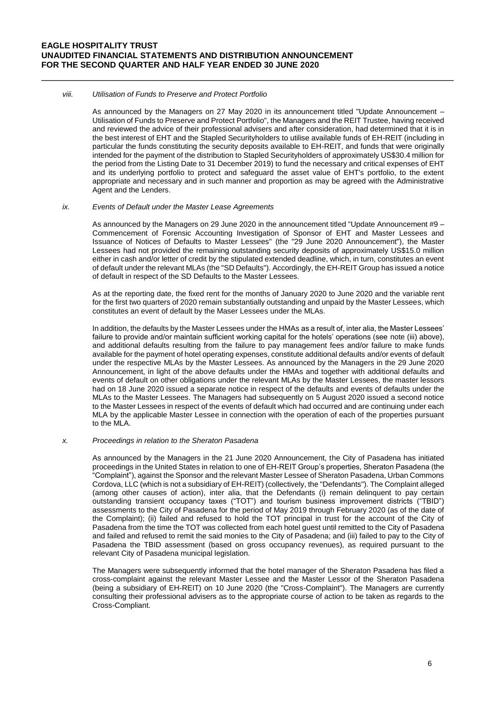#### *viii. Utilisation of Funds to Preserve and Protect Portfolio*

As announced by the Managers on 27 May 2020 in its announcement titled "Update Announcement – Utilisation of Funds to Preserve and Protect Portfolio", the Managers and the REIT Trustee, having received and reviewed the advice of their professional advisers and after consideration, had determined that it is in the best interest of EHT and the Stapled Securityholders to utilise available funds of EH-REIT (including in particular the funds constituting the security deposits available to EH-REIT, and funds that were originally intended for the payment of the distribution to Stapled Securityholders of approximately US\$30.4 million for the period from the Listing Date to 31 December 2019) to fund the necessary and critical expenses of EHT and its underlying portfolio to protect and safeguard the asset value of EHT's portfolio, to the extent appropriate and necessary and in such manner and proportion as may be agreed with the Administrative Agent and the Lenders.

\_\_\_\_\_\_\_\_\_\_\_\_\_\_\_\_\_\_\_\_\_\_\_\_\_\_\_\_\_\_\_\_\_\_\_\_\_\_\_\_\_\_\_\_\_\_\_\_\_\_\_\_\_\_\_\_\_\_\_\_\_\_\_\_\_\_\_\_\_\_\_\_\_\_

#### *ix. Events of Default under the Master Lease Agreements*

As announced by the Managers on 29 June 2020 in the announcement titled "Update Announcement #9 – Commencement of Forensic Accounting Investigation of Sponsor of EHT and Master Lessees and Issuance of Notices of Defaults to Master Lessees" (the "29 June 2020 Announcement"), the Master Lessees had not provided the remaining outstanding security deposits of approximately US\$15.0 million either in cash and/or letter of credit by the stipulated extended deadline, which, in turn, constitutes an event of default under the relevant MLAs (the "SD Defaults"). Accordingly, the EH-REIT Group has issued a notice of default in respect of the SD Defaults to the Master Lessees.

As at the reporting date, the fixed rent for the months of January 2020 to June 2020 and the variable rent for the first two quarters of 2020 remain substantially outstanding and unpaid by the Master Lessees, which constitutes an event of default by the Maser Lessees under the MLAs.

In addition, the defaults by the Master Lessees under the HMAs as a result of, inter alia, the Master Lessees' failure to provide and/or maintain sufficient working capital for the hotels' operations (see note (iii) above), and additional defaults resulting from the failure to pay management fees and/or failure to make funds available for the payment of hotel operating expenses, constitute additional defaults and/or events of default under the respective MLAs by the Master Lessees. As announced by the Managers in the 29 June 2020 Announcement, in light of the above defaults under the HMAs and together with additional defaults and events of default on other obligations under the relevant MLAs by the Master Lessees, the master lessors had on 18 June 2020 issued a separate notice in respect of the defaults and events of defaults under the MLAs to the Master Lessees. The Managers had subsequently on 5 August 2020 issued a second notice to the Master Lessees in respect of the events of default which had occurred and are continuing under each MLA by the applicable Master Lessee in connection with the operation of each of the properties pursuant to the MLA.

#### *x. Proceedings in relation to the Sheraton Pasadena*

As announced by the Managers in the 21 June 2020 Announcement, the City of Pasadena has initiated proceedings in the United States in relation to one of EH-REIT Group's properties, Sheraton Pasadena (the "Complaint"), against the Sponsor and the relevant Master Lessee of Sheraton Pasadena, Urban Commons Cordova, LLC (which is not a subsidiary of EH-REIT) (collectively, the "Defendants"). The Complaint alleged (among other causes of action), inter alia, that the Defendants (i) remain delinquent to pay certain outstanding transient occupancy taxes ("TOT") and tourism business improvement districts ("TBID") assessments to the City of Pasadena for the period of May 2019 through February 2020 (as of the date of the Complaint); (ii) failed and refused to hold the TOT principal in trust for the account of the City of Pasadena from the time the TOT was collected from each hotel guest until remitted to the City of Pasadena and failed and refused to remit the said monies to the City of Pasadena; and (iii) failed to pay to the City of Pasadena the TBID assessment (based on gross occupancy revenues), as required pursuant to the relevant City of Pasadena municipal legislation.

The Managers were subsequently informed that the hotel manager of the Sheraton Pasadena has filed a cross-complaint against the relevant Master Lessee and the Master Lessor of the Sheraton Pasadena (being a subsidiary of EH-REIT) on 10 June 2020 (the "Cross-Complaint"). The Managers are currently consulting their professional advisers as to the appropriate course of action to be taken as regards to the Cross-Compliant.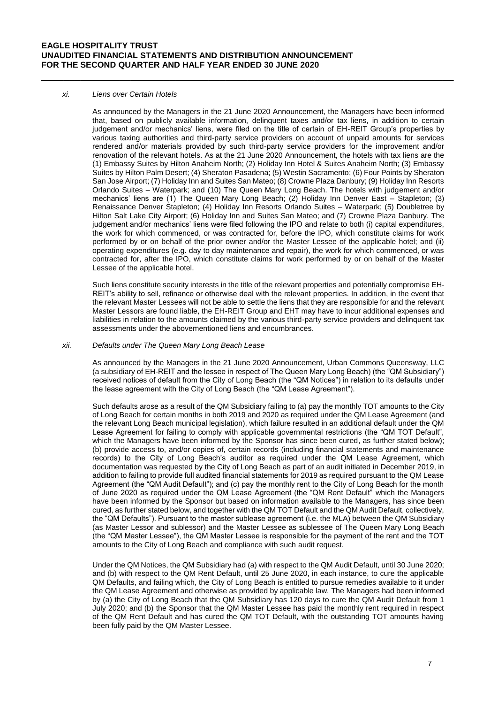#### *xi. Liens over Certain Hotels*

As announced by the Managers in the 21 June 2020 Announcement, the Managers have been informed that, based on publicly available information, delinquent taxes and/or tax liens, in addition to certain judgement and/or mechanics' liens, were filed on the title of certain of EH-REIT Group's properties by various taxing authorities and third-party service providers on account of unpaid amounts for services rendered and/or materials provided by such third-party service providers for the improvement and/or renovation of the relevant hotels. As at the 21 June 2020 Announcement, the hotels with tax liens are the (1) Embassy Suites by Hilton Anaheim North; (2) Holiday Inn Hotel & Suites Anaheim North; (3) Embassy Suites by Hilton Palm Desert; (4) Sheraton Pasadena; (5) Westin Sacramento; (6) Four Points by Sheraton San Jose Airport; (7) Holiday Inn and Suites San Mateo; (8) Crowne Plaza Danbury; (9) Holiday Inn Resorts Orlando Suites – Waterpark; and (10) The Queen Mary Long Beach. The hotels with judgement and/or mechanics' liens are (1) The Queen Mary Long Beach; (2) Holiday Inn Denver East – Stapleton; (3) Renaissance Denver Stapleton; (4) Holiday Inn Resorts Orlando Suites – Waterpark; (5) Doubletree by Hilton Salt Lake City Airport; (6) Holiday Inn and Suites San Mateo; and (7) Crowne Plaza Danbury. The judgement and/or mechanics' liens were filed following the IPO and relate to both (i) capital expenditures, the work for which commenced, or was contracted for, before the IPO, which constitute claims for work performed by or on behalf of the prior owner and/or the Master Lessee of the applicable hotel; and (ii) operating expenditures (e.g. day to day maintenance and repair), the work for which commenced, or was contracted for, after the IPO, which constitute claims for work performed by or on behalf of the Master Lessee of the applicable hotel.

\_\_\_\_\_\_\_\_\_\_\_\_\_\_\_\_\_\_\_\_\_\_\_\_\_\_\_\_\_\_\_\_\_\_\_\_\_\_\_\_\_\_\_\_\_\_\_\_\_\_\_\_\_\_\_\_\_\_\_\_\_\_\_\_\_\_\_\_\_\_\_\_\_\_

Such liens constitute security interests in the title of the relevant properties and potentially compromise EH-REIT's ability to sell, refinance or otherwise deal with the relevant properties. In addition, in the event that the relevant Master Lessees will not be able to settle the liens that they are responsible for and the relevant Master Lessors are found liable, the EH-REIT Group and EHT may have to incur additional expenses and liabilities in relation to the amounts claimed by the various third-party service providers and delinquent tax assessments under the abovementioned liens and encumbrances.

## *xii. Defaults under The Queen Mary Long Beach Lease*

As announced by the Managers in the 21 June 2020 Announcement, Urban Commons Queensway, LLC (a subsidiary of EH-REIT and the lessee in respect of The Queen Mary Long Beach) (the "QM Subsidiary") received notices of default from the City of Long Beach (the "QM Notices") in relation to its defaults under the lease agreement with the City of Long Beach (the "QM Lease Agreement").

Such defaults arose as a result of the QM Subsidiary failing to (a) pay the monthly TOT amounts to the City of Long Beach for certain months in both 2019 and 2020 as required under the QM Lease Agreement (and the relevant Long Beach municipal legislation), which failure resulted in an additional default under the QM Lease Agreement for failing to comply with applicable governmental restrictions (the "QM TOT Default", which the Managers have been informed by the Sponsor has since been cured, as further stated below); (b) provide access to, and/or copies of, certain records (including financial statements and maintenance records) to the City of Long Beach's auditor as required under the QM Lease Agreement, which documentation was requested by the City of Long Beach as part of an audit initiated in December 2019, in addition to failing to provide full audited financial statements for 2019 as required pursuant to the QM Lease Agreement (the "QM Audit Default"); and (c) pay the monthly rent to the City of Long Beach for the month of June 2020 as required under the QM Lease Agreement (the "QM Rent Default" which the Managers have been informed by the Sponsor but based on information available to the Managers, has since been cured, as further stated below, and together with the QM TOT Default and the QM Audit Default, collectively, the "QM Defaults"). Pursuant to the master sublease agreement (i.e. the MLA) between the QM Subsidiary (as Master Lessor and sublessor) and the Master Lessee as sublessee of The Queen Mary Long Beach (the "QM Master Lessee"), the QM Master Lessee is responsible for the payment of the rent and the TOT amounts to the City of Long Beach and compliance with such audit request.

Under the QM Notices, the QM Subsidiary had (a) with respect to the QM Audit Default, until 30 June 2020; and (b) with respect to the QM Rent Default, until 25 June 2020, in each instance, to cure the applicable QM Defaults, and failing which, the City of Long Beach is entitled to pursue remedies available to it under the QM Lease Agreement and otherwise as provided by applicable law. The Managers had been informed by (a) the City of Long Beach that the QM Subsidiary has 120 days to cure the QM Audit Default from 1 July 2020; and (b) the Sponsor that the QM Master Lessee has paid the monthly rent required in respect of the QM Rent Default and has cured the QM TOT Default, with the outstanding TOT amounts having been fully paid by the QM Master Lessee.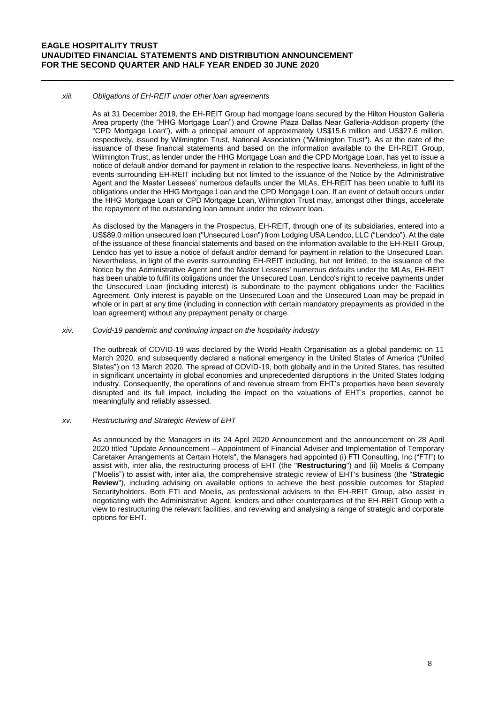#### *xiii. Obligations of EH-REIT under other loan agreements*

As at 31 December 2019, the EH-REIT Group had mortgage loans secured by the Hilton Houston Galleria Area property (the "HHG Mortgage Loan") and Crowne Plaza Dallas Near Galleria-Addison property (the "CPD Mortgage Loan"), with a principal amount of approximately US\$15.6 million and US\$27.6 million, respectively, issued by Wilmington Trust, National Association ("Wilmington Trust"). As at the date of the issuance of these financial statements and based on the information available to the EH-REIT Group, Wilmington Trust, as lender under the HHG Mortgage Loan and the CPD Mortgage Loan, has yet to issue a notice of default and/or demand for payment in relation to the respective loans. Nevertheless, in light of the events surrounding EH-REIT including but not limited to the issuance of the Notice by the Administrative Agent and the Master Lessees' numerous defaults under the MLAs, EH-REIT has been unable to fulfil its obligations under the HHG Mortgage Loan and the CPD Mortgage Loan. If an event of default occurs under the HHG Mortgage Loan or CPD Mortgage Loan, Wilmington Trust may, amongst other things, accelerate the repayment of the outstanding loan amount under the relevant loan.

\_\_\_\_\_\_\_\_\_\_\_\_\_\_\_\_\_\_\_\_\_\_\_\_\_\_\_\_\_\_\_\_\_\_\_\_\_\_\_\_\_\_\_\_\_\_\_\_\_\_\_\_\_\_\_\_\_\_\_\_\_\_\_\_\_\_\_\_\_\_\_\_\_\_

As disclosed by the Managers in the Prospectus, EH-REIT, through one of its subsidiaries, entered into a US\$89.0 million unsecured loan ("Unsecured Loan") from Lodging USA Lendco, LLC ("Lendco"). At the date of the issuance of these financial statements and based on the information available to the EH-REIT Group, Lendco has yet to issue a notice of default and/or demand for payment in relation to the Unsecured Loan. Nevertheless, in light of the events surrounding EH-REIT including, but not limited, to the issuance of the Notice by the Administrative Agent and the Master Lessees' numerous defaults under the MLAs, EH-REIT has been unable to fulfil its obligations under the Unsecured Loan. Lendco's right to receive payments under the Unsecured Loan (including interest) is subordinate to the payment obligations under the Facilities Agreement. Only interest is payable on the Unsecured Loan and the Unsecured Loan may be prepaid in whole or in part at any time (including in connection with certain mandatory prepayments as provided in the loan agreement) without any prepayment penalty or charge.

#### *xiv. Covid-19 pandemic and continuing impact on the hospitality industry*

The outbreak of COVID-19 was declared by the World Health Organisation as a global pandemic on 11 March 2020, and subsequently declared a national emergency in the United States of America ("United States") on 13 March 2020. The spread of COVID-19, both globally and in the United States, has resulted in significant uncertainty in global economies and unprecedented disruptions in the United States lodging industry. Consequently, the operations of and revenue stream from EHT's properties have been severely disrupted and its full impact, including the impact on the valuations of EHT's properties, cannot be meaningfully and reliably assessed.

### *xv. Restructuring and Strategic Review of EHT*

As announced by the Managers in its 24 April 2020 Announcement and the announcement on 28 April 2020 titled "Update Announcement – Appointment of Financial Adviser and Implementation of Temporary Caretaker Arrangements at Certain Hotels", the Managers had appointed (i) FTI Consulting, Inc ("FTI") to assist with, inter alia, the restructuring process of EHT (the "**Restructuring**") and (ii) Moelis & Company ("Moelis") to assist with, inter alia, the comprehensive strategic review of EHT's business (the "**Strategic Review**"), including advising on available options to achieve the best possible outcomes for Stapled Securityholders. Both FTI and Moelis, as professional advisers to the EH-REIT Group, also assist in negotiating with the Administrative Agent, lenders and other counterparties of the EH-REIT Group with a view to restructuring the relevant facilities, and reviewing and analysing a range of strategic and corporate options for EHT.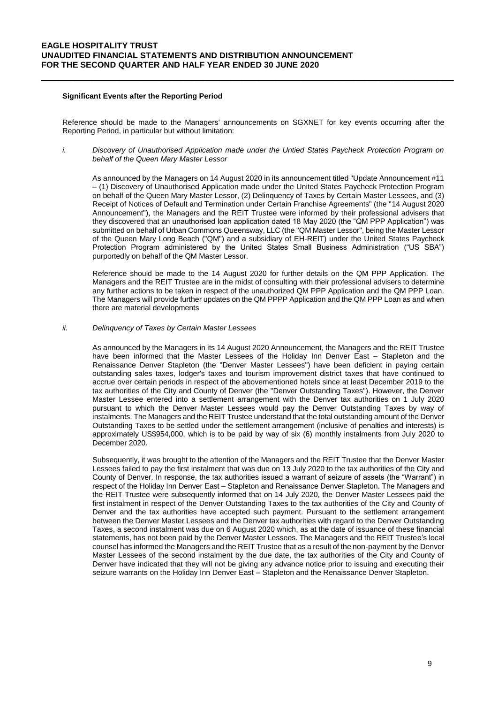## **Significant Events after the Reporting Period**

Reference should be made to the Managers' announcements on SGXNET for key events occurring after the Reporting Period, in particular but without limitation:

\_\_\_\_\_\_\_\_\_\_\_\_\_\_\_\_\_\_\_\_\_\_\_\_\_\_\_\_\_\_\_\_\_\_\_\_\_\_\_\_\_\_\_\_\_\_\_\_\_\_\_\_\_\_\_\_\_\_\_\_\_\_\_\_\_\_\_\_\_\_\_\_\_\_

*i. Discovery of Unauthorised Application made under the Untied States Paycheck Protection Program on behalf of the Queen Mary Master Lessor*

As announced by the Managers on 14 August 2020 in its announcement titled "Update Announcement #11 – (1) Discovery of Unauthorised Application made under the United States Paycheck Protection Program on behalf of the Queen Mary Master Lessor, (2) Delinquency of Taxes by Certain Master Lessees, and (3) Receipt of Notices of Default and Termination under Certain Franchise Agreements" (the "14 August 2020 Announcement"), the Managers and the REIT Trustee were informed by their professional advisers that they discovered that an unauthorised loan application dated 18 May 2020 (the "QM PPP Application") was submitted on behalf of Urban Commons Queensway, LLC (the "QM Master Lessor", being the Master Lessor of the Queen Mary Long Beach ("QM") and a subsidiary of EH-REIT) under the United States Paycheck Protection Program administered by the United States Small Business Administration ("US SBA") purportedly on behalf of the QM Master Lessor.

Reference should be made to the 14 August 2020 for further details on the QM PPP Application. The Managers and the REIT Trustee are in the midst of consulting with their professional advisers to determine any further actions to be taken in respect of the unauthorized QM PPP Application and the QM PPP Loan. The Managers will provide further updates on the QM PPPP Application and the QM PPP Loan as and when there are material developments

*ii. Delinquency of Taxes by Certain Master Lessees*

As announced by the Managers in its 14 August 2020 Announcement, the Managers and the REIT Trustee have been informed that the Master Lessees of the Holiday Inn Denver East – Stapleton and the Renaissance Denver Stapleton (the "Denver Master Lessees") have been deficient in paying certain outstanding sales taxes, lodger's taxes and tourism improvement district taxes that have continued to accrue over certain periods in respect of the abovementioned hotels since at least December 2019 to the tax authorities of the City and County of Denver (the "Denver Outstanding Taxes"). However, the Denver Master Lessee entered into a settlement arrangement with the Denver tax authorities on 1 July 2020 pursuant to which the Denver Master Lessees would pay the Denver Outstanding Taxes by way of instalments. The Managers and the REIT Trustee understand that the total outstanding amount of the Denver Outstanding Taxes to be settled under the settlement arrangement (inclusive of penalties and interests) is approximately US\$954,000, which is to be paid by way of six (6) monthly instalments from July 2020 to December 2020.

Subsequently, it was brought to the attention of the Managers and the REIT Trustee that the Denver Master Lessees failed to pay the first instalment that was due on 13 July 2020 to the tax authorities of the City and County of Denver. In response, the tax authorities issued a warrant of seizure of assets (the "Warrant") in respect of the Holiday Inn Denver East – Stapleton and Renaissance Denver Stapleton. The Managers and the REIT Trustee were subsequently informed that on 14 July 2020, the Denver Master Lessees paid the first instalment in respect of the Denver Outstanding Taxes to the tax authorities of the City and County of Denver and the tax authorities have accepted such payment. Pursuant to the settlement arrangement between the Denver Master Lessees and the Denver tax authorities with regard to the Denver Outstanding Taxes, a second instalment was due on 6 August 2020 which, as at the date of issuance of these financial statements, has not been paid by the Denver Master Lessees. The Managers and the REIT Trustee's local counsel has informed the Managers and the REIT Trustee that as a result of the non-payment by the Denver Master Lessees of the second instalment by the due date, the tax authorities of the City and County of Denver have indicated that they will not be giving any advance notice prior to issuing and executing their seizure warrants on the Holiday Inn Denver East – Stapleton and the Renaissance Denver Stapleton.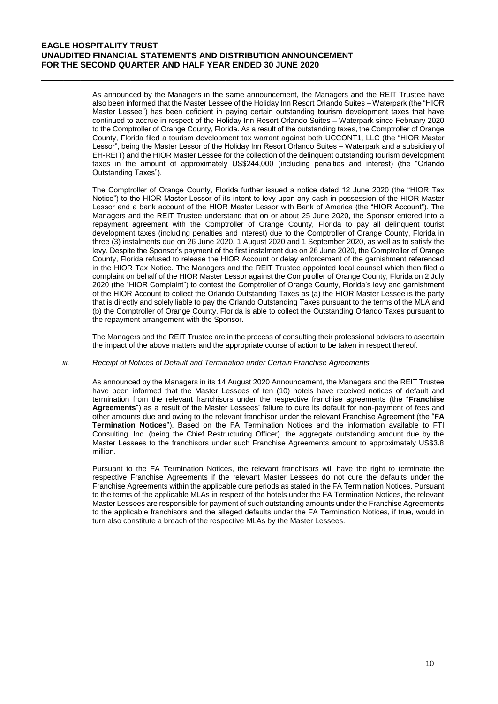As announced by the Managers in the same announcement, the Managers and the REIT Trustee have also been informed that the Master Lessee of the Holiday Inn Resort Orlando Suites – Waterpark (the "HIOR Master Lessee") has been deficient in paying certain outstanding tourism development taxes that have continued to accrue in respect of the Holiday Inn Resort Orlando Suites – Waterpark since February 2020 to the Comptroller of Orange County, Florida. As a result of the outstanding taxes, the Comptroller of Orange County, Florida filed a tourism development tax warrant against both UCCONT1, LLC (the "HIOR Master Lessor", being the Master Lessor of the Holiday Inn Resort Orlando Suites – Waterpark and a subsidiary of EH-REIT) and the HIOR Master Lessee for the collection of the delinquent outstanding tourism development taxes in the amount of approximately US\$244,000 (including penalties and interest) (the "Orlando Outstanding Taxes").

\_\_\_\_\_\_\_\_\_\_\_\_\_\_\_\_\_\_\_\_\_\_\_\_\_\_\_\_\_\_\_\_\_\_\_\_\_\_\_\_\_\_\_\_\_\_\_\_\_\_\_\_\_\_\_\_\_\_\_\_\_\_\_\_\_\_\_\_\_\_\_\_\_\_

The Comptroller of Orange County, Florida further issued a notice dated 12 June 2020 (the "HIOR Tax Notice") to the HIOR Master Lessor of its intent to levy upon any cash in possession of the HIOR Master Lessor and a bank account of the HIOR Master Lessor with Bank of America (the "HIOR Account"). The Managers and the REIT Trustee understand that on or about 25 June 2020, the Sponsor entered into a repayment agreement with the Comptroller of Orange County, Florida to pay all delinquent tourist development taxes (including penalties and interest) due to the Comptroller of Orange County, Florida in three (3) instalments due on 26 June 2020, 1 August 2020 and 1 September 2020, as well as to satisfy the levy. Despite the Sponsor's payment of the first instalment due on 26 June 2020, the Comptroller of Orange County, Florida refused to release the HIOR Account or delay enforcement of the garnishment referenced in the HIOR Tax Notice. The Managers and the REIT Trustee appointed local counsel which then filed a complaint on behalf of the HIOR Master Lessor against the Comptroller of Orange County, Florida on 2 July 2020 (the "HIOR Complaint") to contest the Comptroller of Orange County, Florida's levy and garnishment of the HIOR Account to collect the Orlando Outstanding Taxes as (a) the HIOR Master Lessee is the party that is directly and solely liable to pay the Orlando Outstanding Taxes pursuant to the terms of the MLA and (b) the Comptroller of Orange County, Florida is able to collect the Outstanding Orlando Taxes pursuant to the repayment arrangement with the Sponsor.

The Managers and the REIT Trustee are in the process of consulting their professional advisers to ascertain the impact of the above matters and the appropriate course of action to be taken in respect thereof.

#### *iii. Receipt of Notices of Default and Termination under Certain Franchise Agreements*

As announced by the Managers in its 14 August 2020 Announcement, the Managers and the REIT Trustee have been informed that the Master Lessees of ten (10) hotels have received notices of default and termination from the relevant franchisors under the respective franchise agreements (the "**Franchise Agreements**") as a result of the Master Lessees' failure to cure its default for non-payment of fees and other amounts due and owing to the relevant franchisor under the relevant Franchise Agreement (the "**FA Termination Notices**"). Based on the FA Termination Notices and the information available to FTI Consulting, Inc. (being the Chief Restructuring Officer), the aggregate outstanding amount due by the Master Lessees to the franchisors under such Franchise Agreements amount to approximately US\$3.8 million.

Pursuant to the FA Termination Notices, the relevant franchisors will have the right to terminate the respective Franchise Agreements if the relevant Master Lessees do not cure the defaults under the Franchise Agreements within the applicable cure periods as stated in the FA Termination Notices. Pursuant to the terms of the applicable MLAs in respect of the hotels under the FA Termination Notices, the relevant Master Lessees are responsible for payment of such outstanding amounts under the Franchise Agreements to the applicable franchisors and the alleged defaults under the FA Termination Notices, if true, would in turn also constitute a breach of the respective MLAs by the Master Lessees.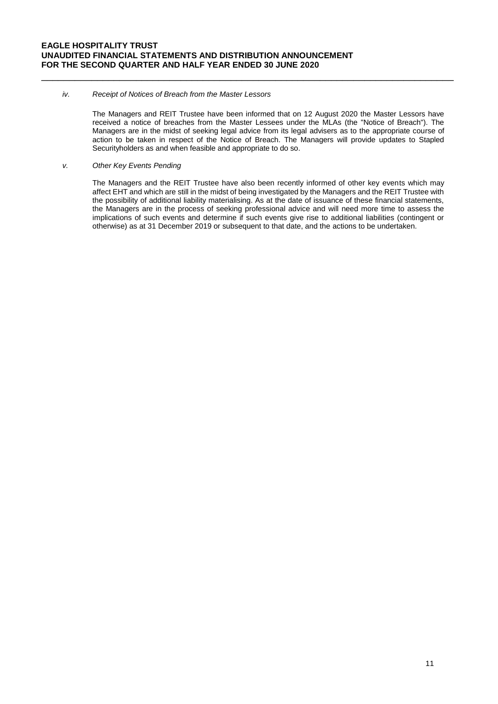### *iv. Receipt of Notices of Breach from the Master Lessors*

The Managers and REIT Trustee have been informed that on 12 August 2020 the Master Lessors have received a notice of breaches from the Master Lessees under the MLAs (the "Notice of Breach"). The Managers are in the midst of seeking legal advice from its legal advisers as to the appropriate course of action to be taken in respect of the Notice of Breach. The Managers will provide updates to Stapled Securityholders as and when feasible and appropriate to do so.

\_\_\_\_\_\_\_\_\_\_\_\_\_\_\_\_\_\_\_\_\_\_\_\_\_\_\_\_\_\_\_\_\_\_\_\_\_\_\_\_\_\_\_\_\_\_\_\_\_\_\_\_\_\_\_\_\_\_\_\_\_\_\_\_\_\_\_\_\_\_\_\_\_\_

### *v. Other Key Events Pending*

The Managers and the REIT Trustee have also been recently informed of other key events which may affect EHT and which are still in the midst of being investigated by the Managers and the REIT Trustee with the possibility of additional liability materialising. As at the date of issuance of these financial statements, the Managers are in the process of seeking professional advice and will need more time to assess the implications of such events and determine if such events give rise to additional liabilities (contingent or otherwise) as at 31 December 2019 or subsequent to that date, and the actions to be undertaken.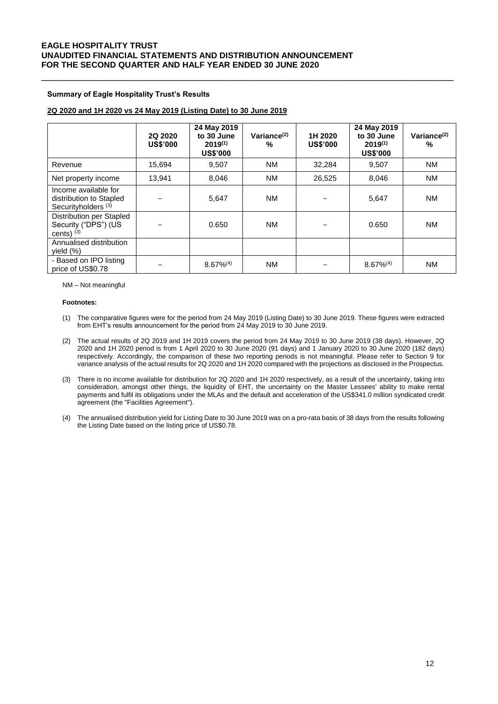### **Summary of Eagle Hospitality Trust's Results**

## **2Q 2020 and 1H 2020 vs 24 May 2019 (Listing Date) to 30 June 2019**

|                                                                                   | 2Q 2020<br><b>US\$'000</b> | 24 May 2019<br>to 30 June<br>$2019^{(1)}$<br><b>US\$'000</b> | Variance $(2)$<br>$\%$ | 1H 2020<br><b>US\$'000</b> | 24 May 2019<br>to 30 June<br>$2019^{(1)}$<br><b>US\$'000</b> | Variance $(2)$<br>% |
|-----------------------------------------------------------------------------------|----------------------------|--------------------------------------------------------------|------------------------|----------------------------|--------------------------------------------------------------|---------------------|
| Revenue                                                                           | 15,694                     | 9,507                                                        | <b>NM</b>              | 32,284                     | 9,507                                                        | <b>NM</b>           |
| Net property income                                                               | 13,941                     | 8,046                                                        | <b>NM</b>              | 26,525                     | 8,046                                                        | <b>NM</b>           |
| Income available for<br>distribution to Stapled<br>Securityholders <sup>(3)</sup> |                            | 5,647                                                        | <b>NM</b>              |                            | 5,647                                                        | <b>NM</b>           |
| Distribution per Stapled<br>Security ("DPS") (US<br>cents) $(3)$                  |                            | 0.650                                                        | <b>NM</b>              |                            | 0.650                                                        | <b>NM</b>           |
| Annualised distribution<br>yield (%)                                              |                            |                                                              |                        |                            |                                                              |                     |
| - Based on IPO listing<br>price of US\$0.78                                       |                            | $8.67\%^{(4)}$                                               | <b>NM</b>              |                            | $8.67\%^{(4)}$                                               | <b>NM</b>           |

\_\_\_\_\_\_\_\_\_\_\_\_\_\_\_\_\_\_\_\_\_\_\_\_\_\_\_\_\_\_\_\_\_\_\_\_\_\_\_\_\_\_\_\_\_\_\_\_\_\_\_\_\_\_\_\_\_\_\_\_\_\_\_\_\_\_\_\_\_\_\_\_\_\_

NM – Not meaningful

#### **Footnotes:**

- (1) The comparative figures were for the period from 24 May 2019 (Listing Date) to 30 June 2019. These figures were extracted from EHT's results announcement for the period from 24 May 2019 to 30 June 2019.
- (2) The actual results of 2Q 2019 and 1H 2019 covers the period from 24 May 2019 to 30 June 2019 (38 days). However, 2Q 2020 and 1H 2020 period is from 1 April 2020 to 30 June 2020 (91 days) and 1 January 2020 to 30 June 2020 (182 days) respectively. Accordingly, the comparison of these two reporting periods is not meaningful. Please refer to Section 9 for variance analysis of the actual results for 2Q 2020 and 1H 2020 compared with the projections as disclosed in the Prospectus.
- (3) There is no income available for distribution for 2Q 2020 and 1H 2020 respectively, as a result of the uncertainty, taking into consideration, amongst other things, the liquidity of EHT, the uncertainty on the Master Lessees' ability to make rental payments and fulfil its obligations under the MLAs and the default and acceleration of the US\$341.0 million syndicated credit agreement (the "Facilities Agreement").
- (4) The annualised distribution yield for Listing Date to 30 June 2019 was on a pro-rata basis of 38 days from the results following the Listing Date based on the listing price of US\$0.78.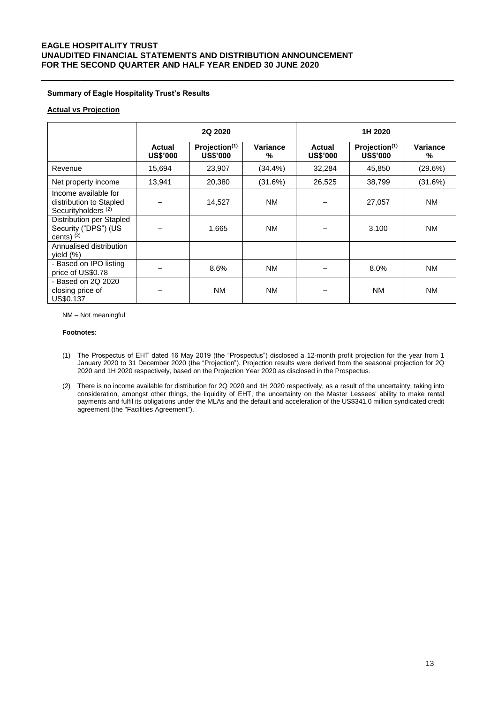## **Summary of Eagle Hospitality Trust's Results**

## **Actual vs Projection**

|                                                                                   | 2Q 2020                   |                                              |               | 1H 2020                   |                                              |               |
|-----------------------------------------------------------------------------------|---------------------------|----------------------------------------------|---------------|---------------------------|----------------------------------------------|---------------|
|                                                                                   | Actual<br><b>US\$'000</b> | Projection <sup>(1)</sup><br><b>US\$'000</b> | Variance<br>% | Actual<br><b>US\$'000</b> | Projection <sup>(1)</sup><br><b>US\$'000</b> | Variance<br>% |
| Revenue                                                                           | 15,694                    | 23,907                                       | $(34.4\%)$    | 32,284                    | 45,850                                       | (29.6%)       |
| Net property income                                                               | 13,941                    | 20,380                                       | (31.6%)       | 26,525                    | 38,799                                       | (31.6%)       |
| Income available for<br>distribution to Stapled<br>Securityholders <sup>(2)</sup> |                           | 14.527                                       | <b>NM</b>     |                           | 27,057                                       | <b>NM</b>     |
| Distribution per Stapled<br>Security ("DPS") (US<br>cents) $(2)$                  |                           | 1.665                                        | <b>NM</b>     |                           | 3.100                                        | <b>NM</b>     |
| Annualised distribution<br>yield (%)                                              |                           |                                              |               |                           |                                              |               |
| - Based on IPO listing<br>price of US\$0.78                                       |                           | 8.6%                                         | <b>NM</b>     |                           | 8.0%                                         | <b>NM</b>     |
| - Based on 2Q 2020<br>closing price of<br><b>US\$0.137</b>                        |                           | <b>NM</b>                                    | <b>NM</b>     |                           | <b>NM</b>                                    | <b>NM</b>     |

\_\_\_\_\_\_\_\_\_\_\_\_\_\_\_\_\_\_\_\_\_\_\_\_\_\_\_\_\_\_\_\_\_\_\_\_\_\_\_\_\_\_\_\_\_\_\_\_\_\_\_\_\_\_\_\_\_\_\_\_\_\_\_\_\_\_\_\_\_\_\_\_\_\_

NM – Not meaningful

#### **Footnotes:**

- (1) The Prospectus of EHT dated 16 May 2019 (the "Prospectus") disclosed a 12-month profit projection for the year from 1 January 2020 to 31 December 2020 (the "Projection"). Projection results were derived from the seasonal projection for 2Q 2020 and 1H 2020 respectively, based on the Projection Year 2020 as disclosed in the Prospectus.
- (2) There is no income available for distribution for 2Q 2020 and 1H 2020 respectively, as a result of the uncertainty, taking into consideration, amongst other things, the liquidity of EHT, the uncertainty on the Master Lessees' ability to make rental payments and fulfil its obligations under the MLAs and the default and acceleration of the US\$341.0 million syndicated credit agreement (the "Facilities Agreement").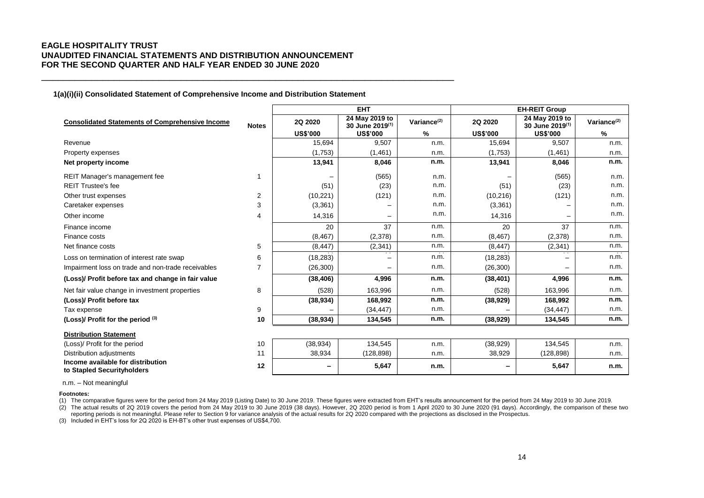**1(a)(i)(ii) Consolidated Statement of Comprehensive Income and Distribution Statement**

\_\_\_\_\_\_\_\_\_\_\_\_\_\_\_\_\_\_\_\_\_\_\_\_\_\_\_\_\_\_\_\_\_\_\_\_\_\_\_\_\_\_\_\_\_\_\_\_\_\_\_\_\_\_\_\_\_\_\_\_\_\_\_\_\_\_\_\_\_\_\_\_\_\_

|                                                                 |                |                 | <b>EHT</b>                                    |                | <b>EH-REIT Group</b> |                                               |                         |  |
|-----------------------------------------------------------------|----------------|-----------------|-----------------------------------------------|----------------|----------------------|-----------------------------------------------|-------------------------|--|
| <b>Consolidated Statements of Comprehensive Income</b>          | <b>Notes</b>   | 2Q 2020         | 24 May 2019 to<br>30 June 2019 <sup>(1)</sup> | Variance $(2)$ | 2Q 2020              | 24 May 2019 to<br>30 June 2019 <sup>(1)</sup> | Variance <sup>(2)</sup> |  |
|                                                                 |                | <b>US\$'000</b> | <b>US\$'000</b>                               | %              | <b>US\$'000</b>      | <b>US\$'000</b>                               | %                       |  |
| Revenue                                                         |                | 15.694          | 9,507                                         | n.m.           | 15.694               | 9,507                                         | n.m.                    |  |
| Property expenses                                               |                | (1,753)         | (1,461)                                       | n.m.           | (1,753)              | (1, 461)                                      | n.m.                    |  |
| Net property income                                             |                | 13,941          | 8,046                                         | n.m.           | 13,941               | 8.046                                         | n.m.                    |  |
| REIT Manager's management fee                                   | $\mathbf{1}$   |                 | (565)                                         | n.m.           |                      | (565)                                         | n.m.                    |  |
| <b>REIT Trustee's fee</b>                                       |                | (51)            | (23)                                          | n.m.           | (51)                 | (23)                                          | n.m.                    |  |
| Other trust expenses                                            | $\overline{2}$ | (10, 221)       | (121)                                         | n.m.           | (10, 216)            | (121)                                         | n.m.                    |  |
| Caretaker expenses                                              | 3              | (3,361)         |                                               | n.m.           | (3,361)              |                                               | n.m.                    |  |
| Other income                                                    | 4              | 14,316          | —                                             | n.m.           | 14,316               |                                               | n.m.                    |  |
| Finance income                                                  |                | 20              | 37                                            | n.m.           | 20                   | 37                                            | n.m.                    |  |
| Finance costs                                                   |                | (8, 467)        | (2,378)                                       | n.m.           | (8, 467)             | (2,378)                                       | n.m.                    |  |
| Net finance costs                                               | 5              | (8, 447)        | (2, 341)                                      | n.m.           | (8, 447)             | (2, 341)                                      | n.m.                    |  |
| Loss on termination of interest rate swap                       | 6              | (18, 283)       |                                               | n.m.           | (18, 283)            |                                               | n.m.                    |  |
| Impairment loss on trade and non-trade receivables              | $\overline{7}$ | (26, 300)       |                                               | n.m.           | (26, 300)            |                                               | n.m.                    |  |
| (Loss)/ Profit before tax and change in fair value              |                | (38, 406)       | 4,996                                         | n.m.           | (38, 401)            | 4,996                                         | n.m.                    |  |
| Net fair value change in investment properties                  | 8              | (528)           | 163,996                                       | n.m.           | (528)                | 163,996                                       | n.m.                    |  |
| (Loss)/ Profit before tax                                       |                | (38, 934)       | 168,992                                       | n.m.           | (38, 929)            | 168,992                                       | n.m.                    |  |
| Tax expense                                                     | 9              |                 | (34, 447)                                     | n.m.           |                      | (34, 447)                                     | n.m.                    |  |
| (Loss)/ Profit for the period (3)                               | 10             | (38, 934)       | 134,545                                       | n.m.           | (38, 929)            | 134,545                                       | n.m.                    |  |
| <b>Distribution Statement</b>                                   |                |                 |                                               |                |                      |                                               |                         |  |
| (Loss)/ Profit for the period                                   | 10             | (38, 934)       | 134,545                                       | n.m.           | (38, 929)            | 134,545                                       | n.m.                    |  |
| Distribution adjustments                                        | 11             | 38,934          | (128, 898)                                    | n.m.           | 38,929               | (128, 898)                                    | n.m.                    |  |
| Income available for distribution<br>to Stapled Securityholders | 12             | -               | 5,647                                         | n.m.           |                      | 5,647                                         | n.m.                    |  |

n.m. – Not meaningful

**Footnotes:**

(1) The comparative figures were for the period from 24 May 2019 (Listing Date) to 30 June 2019. These figures were extracted from EHT's results announcement for the period from 24 May 2019 to 30 June 2019.

(2) The actual results of 2Q 2019 covers the period from 24 May 2019 to 30 June 2019 (38 days). However, 2Q 2020 period is from 1 April 2020 to 30 June 2020 (91 days). Accordingly, the comparison of these two reporting periods is not meaningful. Please refer to Section 9 for variance analysis of the actual results for 2Q 2020 compared with the projections as disclosed in the Prospectus.

(3) Included in EHT's loss for 2Q 2020 is EH-BT's other trust expenses of US\$4,700.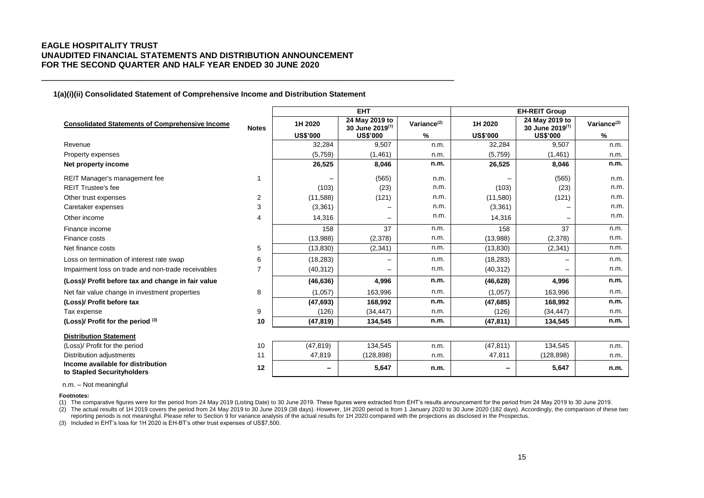### **1(a)(i)(ii) Consolidated Statement of Comprehensive Income and Distribution Statement**

\_\_\_\_\_\_\_\_\_\_\_\_\_\_\_\_\_\_\_\_\_\_\_\_\_\_\_\_\_\_\_\_\_\_\_\_\_\_\_\_\_\_\_\_\_\_\_\_\_\_\_\_\_\_\_\_\_\_\_\_\_\_\_\_\_\_\_\_\_\_\_\_\_\_

|                                                                 |                |                 | <b>EHT</b>                                    |                         |                 | <b>EH-REIT Group</b>                          |                         |
|-----------------------------------------------------------------|----------------|-----------------|-----------------------------------------------|-------------------------|-----------------|-----------------------------------------------|-------------------------|
| <b>Consolidated Statements of Comprehensive Income</b>          | <b>Notes</b>   | 1H 2020         | 24 May 2019 to<br>30 June 2019 <sup>(1)</sup> | Variance <sup>(2)</sup> | 1H 2020         | 24 May 2019 to<br>30 June 2019 <sup>(1)</sup> | Variance <sup>(2)</sup> |
|                                                                 |                | <b>US\$'000</b> | <b>US\$'000</b>                               | %                       | <b>US\$'000</b> | <b>US\$'000</b>                               | %                       |
| Revenue                                                         |                | 32,284          | 9.507                                         | n.m.                    | 32,284          | 9.507                                         | n.m.                    |
| Property expenses                                               |                | (5,759)         | (1, 461)                                      | n.m.                    | (5,759)         | (1,461)                                       | n.m.                    |
| Net property income                                             |                | 26,525          | 8,046                                         | n.m.                    | 26,525          | 8,046                                         | n.m.                    |
| REIT Manager's management fee                                   | 1              |                 | (565)                                         | n.m.                    |                 | (565)                                         | n.m.                    |
| <b>REIT Trustee's fee</b>                                       |                | (103)           | (23)                                          | n.m.                    | (103)           | (23)                                          | n.m.                    |
| Other trust expenses                                            | 2              | (11,588)        | (121)                                         | n.m.                    | (11,580)        | (121)                                         | n.m.                    |
| Caretaker expenses                                              | 3              | (3,361)         |                                               | n.m.                    | (3,361)         |                                               | n.m.                    |
| Other income                                                    | $\overline{4}$ | 14,316          | —                                             | n.m.                    | 14,316          |                                               | n.m.                    |
| Finance income                                                  |                | 158             | 37                                            | n.m.                    | 158             | 37                                            | n.m.                    |
| Finance costs                                                   |                | (13,988)        | (2,378)                                       | n.m.                    | (13,988)        | (2,378)                                       | n.m.                    |
| Net finance costs                                               | 5              | (13, 830)       | (2, 341)                                      | n.m.                    | (13, 830)       | (2, 341)                                      | n.m.                    |
| Loss on termination of interest rate swap                       | 6              | (18, 283)       |                                               | n.m.                    | (18, 283)       | $\overline{\phantom{0}}$                      | n.m.                    |
| Impairment loss on trade and non-trade receivables              | 7              | (40, 312)       |                                               | n.m.                    | (40, 312)       |                                               | n.m.                    |
| (Loss)/ Profit before tax and change in fair value              |                | (46, 636)       | 4,996                                         | n.m.                    | (46, 628)       | 4,996                                         | n.m.                    |
| Net fair value change in investment properties                  | 8              | (1,057)         | 163,996                                       | n.m.                    | (1,057)         | 163,996                                       | n.m.                    |
| (Loss)/ Profit before tax                                       |                | (47, 693)       | 168.992                                       | n.m.                    | (47, 685)       | 168,992                                       | n.m.                    |
| Tax expense                                                     | 9              | (126)           | (34, 447)                                     | n.m.                    | (126)           | (34, 447)                                     | n.m.                    |
| (Loss)/ Profit for the period (3)                               | 10             | (47, 819)       | 134,545                                       | n.m.                    | (47, 811)       | 134,545                                       | n.m.                    |
| <b>Distribution Statement</b>                                   |                |                 |                                               |                         |                 |                                               |                         |
| (Loss)/ Profit for the period                                   | 10             | (47, 819)       | 134.545                                       | n.m.                    | (47, 811)       | 134,545                                       | n.m.                    |
| Distribution adjustments                                        | 11             | 47,819          | (128, 898)                                    | n.m.                    | 47,811          | (128, 898)                                    | n.m.                    |
| Income available for distribution<br>to Stapled Securityholders | 12             | -               | 5,647                                         | n.m.                    |                 | 5,647                                         | n.m.                    |

n.m. – Not meaningful

**Footnotes:**

(1) The comparative figures were for the period from 24 May 2019 (Listing Date) to 30 June 2019. These figures were extracted from EHT's results announcement for the period from 24 May 2019 to 30 June 2019.

(2) The actual results of 1H 2019 covers the period from 24 May 2019 to 30 June 2019 (38 days). However, 1H 2020 period is from 1 January 2020 to 30 June 2020 (182 days). Accordingly, the comparison of these two reporting periods is not meaningful. Please refer to Section 9 for variance analysis of the actual results for 1H 2020 compared with the projections as disclosed in the Prospectus.

(3) Included in EHT's loss for 1H 2020 is EH-BT's other trust expenses of US\$7,500.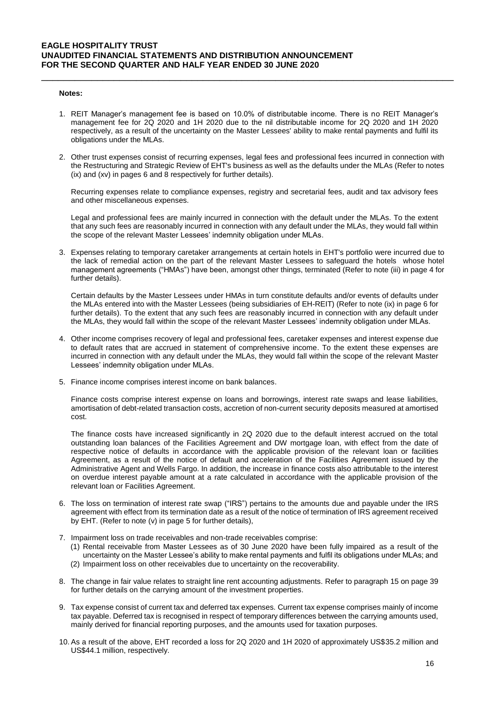#### **Notes:**

1. REIT Manager's management fee is based on 10.0% of distributable income. There is no REIT Manager's management fee for 2Q 2020 and 1H 2020 due to the nil distributable income for 2Q 2020 and 1H 2020 respectively, as a result of the uncertainty on the Master Lessees' ability to make rental payments and fulfil its obligations under the MLAs.

\_\_\_\_\_\_\_\_\_\_\_\_\_\_\_\_\_\_\_\_\_\_\_\_\_\_\_\_\_\_\_\_\_\_\_\_\_\_\_\_\_\_\_\_\_\_\_\_\_\_\_\_\_\_\_\_\_\_\_\_\_\_\_\_\_\_\_\_\_\_\_\_\_\_

2. Other trust expenses consist of recurring expenses, legal fees and professional fees incurred in connection with the Restructuring and Strategic Review of EHT's business as well as the defaults under the MLAs (Refer to notes (ix) and (xv) in pages 6 and 8 respectively for further details).

Recurring expenses relate to compliance expenses, registry and secretarial fees, audit and tax advisory fees and other miscellaneous expenses.

Legal and professional fees are mainly incurred in connection with the default under the MLAs. To the extent that any such fees are reasonably incurred in connection with any default under the MLAs, they would fall within the scope of the relevant Master Lessees' indemnity obligation under MLAs.

3. Expenses relating to temporary caretaker arrangements at certain hotels in EHT's portfolio were incurred due to the lack of remedial action on the part of the relevant Master Lessees to safeguard the hotels whose hotel management agreements ("HMAs") have been, amongst other things, terminated (Refer to note (iii) in page 4 for further details).

Certain defaults by the Master Lessees under HMAs in turn constitute defaults and/or events of defaults under the MLAs entered into with the Master Lessees (being subsidiaries of EH-REIT) (Refer to note (ix) in page 6 for further details). To the extent that any such fees are reasonably incurred in connection with any default under the MLAs, they would fall within the scope of the relevant Master Lessees' indemnity obligation under MLAs.

- 4. Other income comprises recovery of legal and professional fees, caretaker expenses and interest expense due to default rates that are accrued in statement of comprehensive income. To the extent these expenses are incurred in connection with any default under the MLAs, they would fall within the scope of the relevant Master Lessees' indemnity obligation under MLAs.
- 5. Finance income comprises interest income on bank balances.

Finance costs comprise interest expense on loans and borrowings, interest rate swaps and lease liabilities, amortisation of debt-related transaction costs, accretion of non-current security deposits measured at amortised cost.

The finance costs have increased significantly in 2Q 2020 due to the default interest accrued on the total outstanding loan balances of the Facilities Agreement and DW mortgage loan, with effect from the date of respective notice of defaults in accordance with the applicable provision of the relevant loan or facilities Agreement, as a result of the notice of default and acceleration of the Facilities Agreement issued by the Administrative Agent and Wells Fargo. In addition, the increase in finance costs also attributable to the interest on overdue interest payable amount at a rate calculated in accordance with the applicable provision of the relevant loan or Facilities Agreement.

- 6. The loss on termination of interest rate swap ("IRS") pertains to the amounts due and payable under the IRS agreement with effect from its termination date as a result of the notice of termination of IRS agreement received by EHT. (Refer to note (v) in page 5 for further details),
- 7. Impairment loss on trade receivables and non-trade receivables comprise:
	- (1) Rental receivable from Master Lessees as of 30 June 2020 have been fully impaired as a result of the uncertainty on the Master Lessee's ability to make rental payments and fulfil its obligations under MLAs; and (2) Impairment loss on other receivables due to uncertainty on the recoverability.
- 8. The change in fair value relates to straight line rent accounting adjustments. Refer to paragraph 15 on page 39 for further details on the carrying amount of the investment properties.
- 9. Tax expense consist of current tax and deferred tax expenses. Current tax expense comprises mainly of income tax payable. Deferred tax is recognised in respect of temporary differences between the carrying amounts used, mainly derived for financial reporting purposes, and the amounts used for taxation purposes.
- 10. As a result of the above, EHT recorded a loss for 2Q 2020 and 1H 2020 of approximately US\$35.2 million and US\$44.1 million, respectively.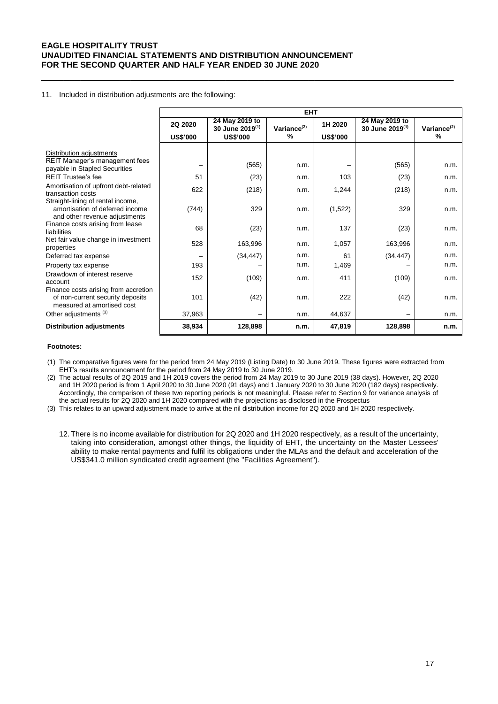#### 11. Included in distribution adjustments are the following:

|                                                                                                                                                                                       |                            |                                                                  | <b>EHT</b>           |                            |                                               |                      |
|---------------------------------------------------------------------------------------------------------------------------------------------------------------------------------------|----------------------------|------------------------------------------------------------------|----------------------|----------------------------|-----------------------------------------------|----------------------|
|                                                                                                                                                                                       | 2Q 2020<br><b>US\$'000</b> | 24 May 2019 to<br>30 June 2019 <sup>(1)</sup><br><b>US\$'000</b> | Variance $(2)$<br>%  | 1H 2020<br><b>US\$'000</b> | 24 May 2019 to<br>30 June 2019 <sup>(1)</sup> | Variance $(2)$<br>%  |
| Distribution adjustments<br>REIT Manager's management fees<br>payable in Stapled Securities<br><b>RFIT Trustee's fee</b><br>Amortisation of upfront debt-related<br>transaction costs | 51<br>622                  | (565)<br>(23)<br>(218)                                           | n.m.<br>n.m.<br>n.m. | -<br>103<br>1,244          | (565)<br>(23)<br>(218)                        | n.m.<br>n.m.<br>n.m. |
| Straight-lining of rental income,<br>amortisation of deferred income<br>and other revenue adjustments                                                                                 | (744)                      | 329                                                              | n.m.                 | (1,522)                    | 329                                           | n.m.                 |
| Finance costs arising from lease<br>liabilities                                                                                                                                       | 68                         | (23)                                                             | n.m.                 | 137                        | (23)                                          | n.m.                 |
| Net fair value change in investment<br>properties                                                                                                                                     | 528                        | 163,996                                                          | n.m.                 | 1,057                      | 163,996                                       | n.m.                 |
| Deferred tax expense                                                                                                                                                                  |                            | (34, 447)                                                        | n.m.                 | 61                         | (34, 447)                                     | n.m.                 |
| Property tax expense                                                                                                                                                                  | 193                        |                                                                  | n.m.                 | 1,469                      |                                               | n.m.                 |
| Drawdown of interest reserve<br>account                                                                                                                                               | 152                        | (109)                                                            | n.m.                 | 411                        | (109)                                         | n.m.                 |
| Finance costs arising from accretion<br>of non-current security deposits<br>measured at amortised cost                                                                                | 101                        | (42)                                                             | n.m.                 | 222                        | (42)                                          | n.m.                 |
| Other adjustments <sup>(3)</sup>                                                                                                                                                      | 37,963                     | $\qquad \qquad -$                                                | n.m.                 | 44,637                     |                                               | n.m.                 |
| <b>Distribution adjustments</b>                                                                                                                                                       | 38,934                     | 128,898                                                          | n.m.                 | 47,819                     | 128,898                                       | n.m.                 |

\_\_\_\_\_\_\_\_\_\_\_\_\_\_\_\_\_\_\_\_\_\_\_\_\_\_\_\_\_\_\_\_\_\_\_\_\_\_\_\_\_\_\_\_\_\_\_\_\_\_\_\_\_\_\_\_\_\_\_\_\_\_\_\_\_\_\_\_\_\_\_\_\_\_

#### **Footnotes:**

(1) The comparative figures were for the period from 24 May 2019 (Listing Date) to 30 June 2019. These figures were extracted from EHT's results announcement for the period from 24 May 2019 to 30 June 2019.

(2) The actual results of 2Q 2019 and 1H 2019 covers the period from 24 May 2019 to 30 June 2019 (38 days). However, 2Q 2020 and 1H 2020 period is from 1 April 2020 to 30 June 2020 (91 days) and 1 January 2020 to 30 June 2020 (182 days) respectively. Accordingly, the comparison of these two reporting periods is not meaningful. Please refer to Section 9 for variance analysis of the actual results for 2Q 2020 and 1H 2020 compared with the projections as disclosed in the Prospectus

(3) This relates to an upward adjustment made to arrive at the nil distribution income for 2Q 2020 and 1H 2020 respectively.

12. There is no income available for distribution for 2Q 2020 and 1H 2020 respectively, as a result of the uncertainty, taking into consideration, amongst other things, the liquidity of EHT, the uncertainty on the Master Lessees' ability to make rental payments and fulfil its obligations under the MLAs and the default and acceleration of the US\$341.0 million syndicated credit agreement (the "Facilities Agreement").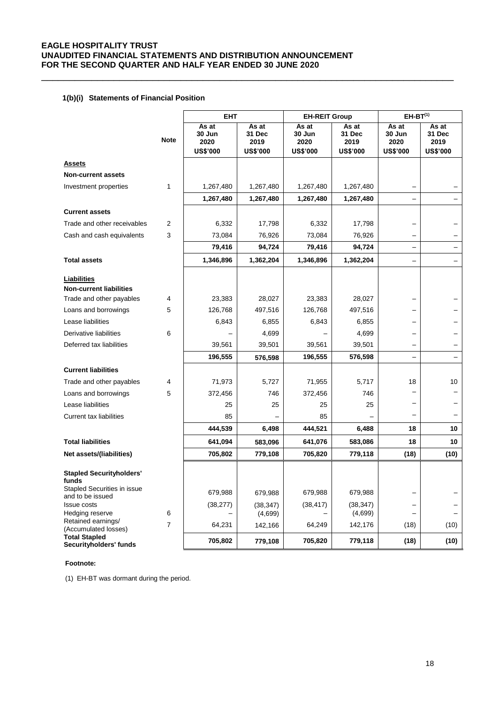\_\_\_\_\_\_\_\_\_\_\_\_\_\_\_\_\_\_\_\_\_\_\_\_\_\_\_\_\_\_\_\_\_\_\_\_\_\_\_\_\_\_\_\_\_\_\_\_\_\_\_\_\_\_\_\_\_\_\_\_\_\_\_\_\_\_\_\_\_\_\_\_\_\_

## **1(b)(i) Statements of Financial Position**

|                                                 |             | <b>EHT</b>                                 |                                            | <b>EH-REIT Group</b>                       |                                            | $EH-BT^{(1)}$                              |                                            |
|-------------------------------------------------|-------------|--------------------------------------------|--------------------------------------------|--------------------------------------------|--------------------------------------------|--------------------------------------------|--------------------------------------------|
|                                                 | <b>Note</b> | As at<br>30 Jun<br>2020<br><b>US\$'000</b> | As at<br>31 Dec<br>2019<br><b>US\$'000</b> | As at<br>30 Jun<br>2020<br><b>US\$'000</b> | As at<br>31 Dec<br>2019<br><b>US\$'000</b> | As at<br>30 Jun<br>2020<br><b>US\$'000</b> | As at<br>31 Dec<br>2019<br><b>US\$'000</b> |
| <b>Assets</b>                                   |             |                                            |                                            |                                            |                                            |                                            |                                            |
| <b>Non-current assets</b>                       |             |                                            |                                            |                                            |                                            |                                            |                                            |
| Investment properties                           | 1           | 1,267,480                                  | 1,267,480                                  | 1,267,480                                  | 1,267,480                                  |                                            |                                            |
|                                                 |             | 1,267,480                                  | 1,267,480                                  | 1,267,480                                  | 1,267,480                                  |                                            |                                            |
| <b>Current assets</b>                           |             |                                            |                                            |                                            |                                            |                                            |                                            |
| Trade and other receivables                     | 2           | 6,332                                      | 17,798                                     | 6,332                                      | 17,798                                     |                                            |                                            |
| Cash and cash equivalents                       | 3           | 73,084                                     | 76,926                                     | 73,084                                     | 76,926                                     | -                                          |                                            |
|                                                 |             | 79,416                                     | 94,724                                     | 79,416                                     | 94,724                                     |                                            |                                            |
| <b>Total assets</b>                             |             | 1,346,896                                  | 1,362,204                                  | 1,346,896                                  | 1,362,204                                  | —                                          |                                            |
| Liabilities<br><b>Non-current liabilities</b>   |             |                                            |                                            |                                            |                                            |                                            |                                            |
| Trade and other payables                        | 4           | 23,383                                     | 28,027                                     | 23,383                                     | 28,027                                     |                                            |                                            |
| Loans and borrowings                            | 5           | 126,768                                    | 497,516                                    | 126,768                                    | 497,516                                    | —                                          |                                            |
| Lease liabilities                               |             | 6,843                                      | 6,855                                      | 6,843                                      | 6,855                                      |                                            |                                            |
| Derivative liabilities                          | 6           |                                            | 4,699                                      |                                            | 4,699                                      |                                            |                                            |
| Deferred tax liabilities                        |             | 39,561                                     | 39,501                                     | 39,561                                     | 39,501                                     | —                                          |                                            |
|                                                 |             | 196,555                                    | 576,598                                    | 196,555                                    | 576,598                                    | —                                          |                                            |
| <b>Current liabilities</b>                      |             |                                            |                                            |                                            |                                            |                                            |                                            |
| Trade and other payables                        | 4           | 71,973                                     | 5,727                                      | 71,955                                     | 5,717                                      | 18                                         | 10                                         |
| Loans and borrowings                            | 5           | 372,456                                    | 746                                        | 372,456                                    | 746                                        |                                            |                                            |
| Lease liabilities                               |             | 25                                         | 25                                         | 25                                         | 25                                         |                                            |                                            |
| Current tax liabilities                         |             | 85                                         |                                            | 85                                         |                                            |                                            |                                            |
|                                                 |             | 444,539                                    | 6,498                                      | 444,521                                    | 6,488                                      | 18                                         | 10                                         |
| <b>Total liabilities</b>                        |             | 641,094                                    | 583,096                                    | 641,076                                    | 583,086                                    | 18                                         | 10                                         |
| Net assets/(liabilities)                        |             | 705,802                                    | 779,108                                    | 705,820                                    | 779,118                                    | (18)                                       | (10)                                       |
| <b>Stapled Securityholders'</b><br>funds        |             |                                            |                                            |                                            |                                            |                                            |                                            |
| Stapled Securities in issue<br>and to be issued |             | 679,988                                    | 679,988                                    | 679,988                                    | 679,988                                    | -                                          |                                            |
| <b>Issue costs</b>                              |             | (38, 277)                                  | (38, 347)                                  | (38, 417)                                  | (38, 347)                                  |                                            |                                            |
| Hedging reserve<br>Retained earnings/           | 6           |                                            | (4,699)                                    |                                            | (4,699)                                    |                                            |                                            |
| (Accumulated losses)                            | 7           | 64,231                                     | 142,166                                    | 64,249                                     | 142,176                                    | (18)                                       | (10)                                       |
| <b>Total Stapled</b><br>Securityholders' funds  |             | 705,802                                    | 779,108                                    | 705,820                                    | 779,118                                    | (18)                                       | (10)                                       |

## **Footnote:**

(1) EH-BT was dormant during the period.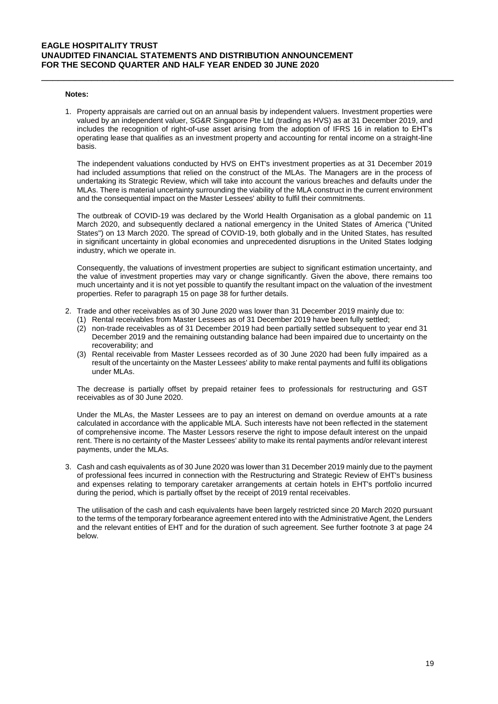#### **Notes:**

1. Property appraisals are carried out on an annual basis by independent valuers. Investment properties were valued by an independent valuer, SG&R Singapore Pte Ltd (trading as HVS) as at 31 December 2019, and includes the recognition of right-of-use asset arising from the adoption of IFRS 16 in relation to EHT's operating lease that qualifies as an investment property and accounting for rental income on a straight-line basis.

\_\_\_\_\_\_\_\_\_\_\_\_\_\_\_\_\_\_\_\_\_\_\_\_\_\_\_\_\_\_\_\_\_\_\_\_\_\_\_\_\_\_\_\_\_\_\_\_\_\_\_\_\_\_\_\_\_\_\_\_\_\_\_\_\_\_\_\_\_\_\_\_\_\_

The independent valuations conducted by HVS on EHT's investment properties as at 31 December 2019 had included assumptions that relied on the construct of the MLAs. The Managers are in the process of undertaking its Strategic Review, which will take into account the various breaches and defaults under the MLAs. There is material uncertainty surrounding the viability of the MLA construct in the current environment and the consequential impact on the Master Lessees' ability to fulfil their commitments.

The outbreak of COVID-19 was declared by the World Health Organisation as a global pandemic on 11 March 2020, and subsequently declared a national emergency in the United States of America ("United States") on 13 March 2020. The spread of COVID-19, both globally and in the United States, has resulted in significant uncertainty in global economies and unprecedented disruptions in the United States lodging industry, which we operate in.

Consequently, the valuations of investment properties are subject to significant estimation uncertainty, and the value of investment properties may vary or change significantly. Given the above, there remains too much uncertainty and it is not yet possible to quantify the resultant impact on the valuation of the investment properties. Refer to paragraph 15 on page 38 for further details.

- 2. Trade and other receivables as of 30 June 2020 was lower than 31 December 2019 mainly due to:
	- (1) Rental receivables from Master Lessees as of 31 December 2019 have been fully settled;
	- (2) non-trade receivables as of 31 December 2019 had been partially settled subsequent to year end 31 December 2019 and the remaining outstanding balance had been impaired due to uncertainty on the recoverability; and
	- (3) Rental receivable from Master Lessees recorded as of 30 June 2020 had been fully impaired as a result of the uncertainty on the Master Lessees' ability to make rental payments and fulfil its obligations under MLAs.

The decrease is partially offset by prepaid retainer fees to professionals for restructuring and GST receivables as of 30 June 2020.

Under the MLAs, the Master Lessees are to pay an interest on demand on overdue amounts at a rate calculated in accordance with the applicable MLA. Such interests have not been reflected in the statement of comprehensive income. The Master Lessors reserve the right to impose default interest on the unpaid rent. There is no certainty of the Master Lessees' ability to make its rental payments and/or relevant interest payments, under the MLAs.

3. Cash and cash equivalents as of 30 June 2020 was lower than 31 December 2019 mainly due to the payment of professional fees incurred in connection with the Restructuring and Strategic Review of EHT's business and expenses relating to temporary caretaker arrangements at certain hotels in EHT's portfolio incurred during the period, which is partially offset by the receipt of 2019 rental receivables.

The utilisation of the cash and cash equivalents have been largely restricted since 20 March 2020 pursuant to the terms of the temporary forbearance agreement entered into with the Administrative Agent, the Lenders and the relevant entities of EHT and for the duration of such agreement. See further footnote 3 at page 24 below.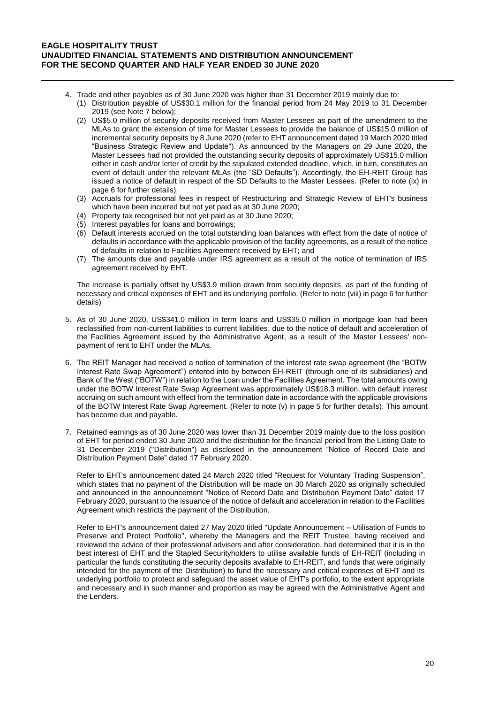- 4. Trade and other payables as of 30 June 2020 was higher than 31 December 2019 mainly due to:
	- (1) Distribution payable of US\$30.1 million for the financial period from 24 May 2019 to 31 December 2019 (see Note 7 below);

\_\_\_\_\_\_\_\_\_\_\_\_\_\_\_\_\_\_\_\_\_\_\_\_\_\_\_\_\_\_\_\_\_\_\_\_\_\_\_\_\_\_\_\_\_\_\_\_\_\_\_\_\_\_\_\_\_\_\_\_\_\_\_\_\_\_\_\_\_\_\_\_\_\_

- (2) US\$5.0 million of security deposits received from Master Lessees as part of the amendment to the MLAs to grant the extension of time for Master Lessees to provide the balance of US\$15.0 million of incremental security deposits by 8 June 2020 (refer to EHT announcement dated 19 March 2020 titled "Business Strategic Review and Update"). As announced by the Managers on 29 June 2020, the Master Lessees had not provided the outstanding security deposits of approximately US\$15.0 million either in cash and/or letter of credit by the stipulated extended deadline, which, in turn, constitutes an event of default under the relevant MLAs (the "SD Defaults"). Accordingly, the EH-REIT Group has issued a notice of default in respect of the SD Defaults to the Master Lessees. (Refer to note (ix) in page 6 for further details).
- (3) Accruals for professional fees in respect of Restructuring and Strategic Review of EHT's business which have been incurred but not yet paid as at 30 June 2020;
- (4) Property tax recognised but not yet paid as at 30 June 2020;
- (5) Interest payables for loans and borrowings;
- (6) Default interests accrued on the total outstanding loan balances with effect from the date of notice of defaults in accordance with the applicable provision of the facility agreements, as a result of the notice of defaults in relation to Facilities Agreement received by EHT; and
- (7) The amounts due and payable under IRS agreement as a result of the notice of termination of IRS agreement received by EHT.

The increase is partially offset by US\$3.9 million drawn from security deposits, as part of the funding of necessary and critical expenses of EHT and its underlying portfolio. (Refer to note (viii) in page 6 for further details)

- 5. As of 30 June 2020, US\$341.0 million in term loans and US\$35.0 million in mortgage loan had been reclassified from non-current liabilities to current liabilities, due to the notice of default and acceleration of the Facilities Agreement issued by the Administrative Agent, as a result of the Master Lessees' nonpayment of rent to EHT under the MLAs.
- 6. The REIT Manager had received a notice of termination of the interest rate swap agreement (the "BOTW Interest Rate Swap Agreement") entered into by between EH-REIT (through one of its subsidiaries) and Bank of the West ("BOTW") in relation to the Loan under the Facilities Agreement. The total amounts owing under the BOTW Interest Rate Swap Agreement was approximately US\$18.3 million, with default interest accruing on such amount with effect from the termination date in accordance with the applicable provisions of the BOTW Interest Rate Swap Agreement. (Refer to note (v) in page 5 for further details). This amount has become due and payable.
- 7. Retained earnings as of 30 June 2020 was lower than 31 December 2019 mainly due to the loss position of EHT for period ended 30 June 2020 and the distribution for the financial period from the Listing Date to 31 December 2019 ("Distribution") as disclosed in the announcement "Notice of Record Date and Distribution Payment Date" dated 17 February 2020.

Refer to EHT's announcement dated 24 March 2020 titled "Request for Voluntary Trading Suspension", which states that no payment of the Distribution will be made on 30 March 2020 as originally scheduled and announced in the announcement "Notice of Record Date and Distribution Payment Date" dated 17 February 2020, pursuant to the issuance of the notice of default and acceleration in relation to the Facilities Agreement which restricts the payment of the Distribution.

Refer to EHT's announcement dated 27 May 2020 titled "Update Announcement – Utilisation of Funds to Preserve and Protect Portfolio", whereby the Managers and the REIT Trustee, having received and reviewed the advice of their professional advisers and after consideration, had determined that it is in the best interest of EHT and the Stapled Securityholders to utilise available funds of EH-REIT (including in particular the funds constituting the security deposits available to EH-REIT, and funds that were originally intended for the payment of the Distribution) to fund the necessary and critical expenses of EHT and its underlying portfolio to protect and safeguard the asset value of EHT's portfolio, to the extent appropriate and necessary and in such manner and proportion as may be agreed with the Administrative Agent and the Lenders.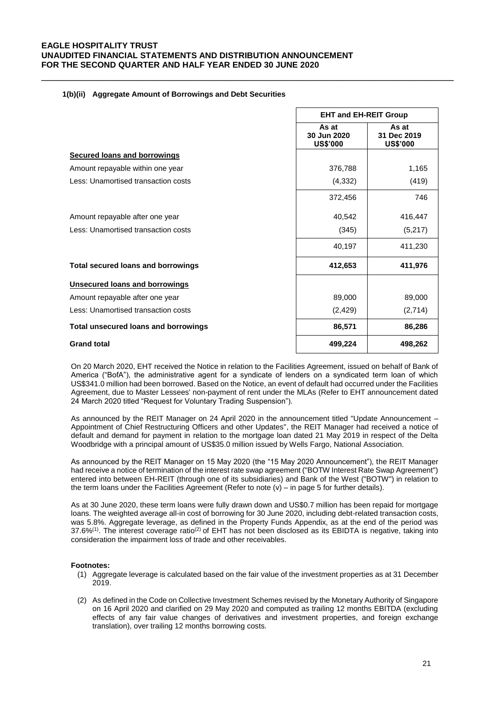|                                             | <b>EHT and EH-REIT Group</b>            |                                         |  |
|---------------------------------------------|-----------------------------------------|-----------------------------------------|--|
|                                             | As at<br>30 Jun 2020<br><b>US\$'000</b> | As at<br>31 Dec 2019<br><b>US\$'000</b> |  |
| <b>Secured loans and borrowings</b>         |                                         |                                         |  |
| Amount repayable within one year            | 376,788                                 | 1,165                                   |  |
| Less: Unamortised transaction costs         | (4, 332)                                | (419)                                   |  |
|                                             | 372,456                                 | 746                                     |  |
| Amount repayable after one year             | 40,542                                  | 416,447                                 |  |
| Less: Unamortised transaction costs         | (345)                                   | (5,217)                                 |  |
|                                             | 40,197                                  | 411,230                                 |  |
| <b>Total secured loans and borrowings</b>   | 412,653                                 | 411,976                                 |  |
| Unsecured loans and borrowings              |                                         |                                         |  |
| Amount repayable after one year             | 89,000                                  | 89,000                                  |  |
| Less: Unamortised transaction costs         | (2, 429)                                | (2,714)                                 |  |
| <b>Total unsecured loans and borrowings</b> | 86,571                                  | 86,286                                  |  |
| <b>Grand total</b>                          | 499,224                                 | 498,262                                 |  |

\_\_\_\_\_\_\_\_\_\_\_\_\_\_\_\_\_\_\_\_\_\_\_\_\_\_\_\_\_\_\_\_\_\_\_\_\_\_\_\_\_\_\_\_\_\_\_\_\_\_\_\_\_\_\_\_\_\_\_\_\_\_\_\_\_\_\_\_\_\_\_\_\_\_

### **1(b)(ii) Aggregate Amount of Borrowings and Debt Securities**

On 20 March 2020, EHT received the Notice in relation to the Facilities Agreement, issued on behalf of Bank of America ("BofA"), the administrative agent for a syndicate of lenders on a syndicated term loan of which US\$341.0 million had been borrowed. Based on the Notice, an event of default had occurred under the Facilities Agreement, due to Master Lessees' non-payment of rent under the MLAs (Refer to EHT announcement dated 24 March 2020 titled "Request for Voluntary Trading Suspension").

As announced by the REIT Manager on 24 April 2020 in the announcement titled "Update Announcement – Appointment of Chief Restructuring Officers and other Updates", the REIT Manager had received a notice of default and demand for payment in relation to the mortgage loan dated 21 May 2019 in respect of the Delta Woodbridge with a principal amount of US\$35.0 million issued by Wells Fargo, National Association.

As announced by the REIT Manager on 15 May 2020 (the "15 May 2020 Announcement"), the REIT Manager had receive a notice of termination of the interest rate swap agreement ("BOTW Interest Rate Swap Agreement") entered into between EH-REIT (through one of its subsidiaries) and Bank of the West ("BOTW") in relation to the term loans under the Facilities Agreement (Refer to note  $(v)$  – in page 5 for further details).

As at 30 June 2020, these term loans were fully drawn down and US\$0.7 million has been repaid for mortgage loans. The weighted average all-in cost of borrowing for 30 June 2020, including debt-related transaction costs, was 5.8%. Aggregate leverage, as defined in the Property Funds Appendix, as at the end of the period was 37.6%<sup>(1)</sup>. The interest coverage ratio<sup>(2)</sup> of EHT has not been disclosed as its EBIDTA is negative, taking into consideration the impairment loss of trade and other receivables.

### **Footnotes:**

- (1) Aggregate leverage is calculated based on the fair value of the investment properties as at 31 December 2019.
- (2) As defined in the Code on Collective Investment Schemes revised by the Monetary Authority of Singapore on 16 April 2020 and clarified on 29 May 2020 and computed as trailing 12 months EBITDA (excluding effects of any fair value changes of derivatives and investment properties, and foreign exchange translation), over trailing 12 months borrowing costs.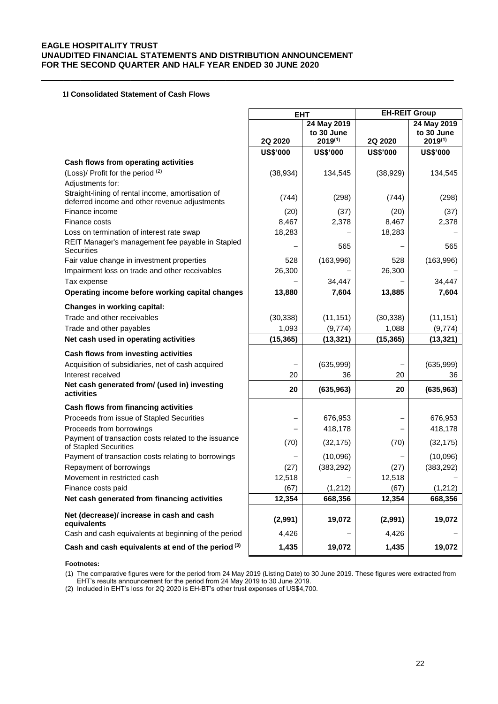\_\_\_\_\_\_\_\_\_\_\_\_\_\_\_\_\_\_\_\_\_\_\_\_\_\_\_\_\_\_\_\_\_\_\_\_\_\_\_\_\_\_\_\_\_\_\_\_\_\_\_\_\_\_\_\_\_\_\_\_\_\_\_\_\_\_\_\_\_\_\_\_\_\_

### **1I Consolidated Statement of Cash Flows**

|                                                                                                    | <b>EHT</b>      |                                           | <b>EH-REIT Group</b> |                                           |  |
|----------------------------------------------------------------------------------------------------|-----------------|-------------------------------------------|----------------------|-------------------------------------------|--|
|                                                                                                    | 2Q 2020         | 24 May 2019<br>to 30 June<br>$2019^{(1)}$ | 2Q 2020              | 24 May 2019<br>to 30 June<br>$2019^{(1)}$ |  |
|                                                                                                    | <b>US\$'000</b> | <b>US\$'000</b>                           | <b>US\$'000</b>      | <b>US\$'000</b>                           |  |
| Cash flows from operating activities                                                               |                 |                                           |                      |                                           |  |
| (Loss)/ Profit for the period (2)                                                                  | (38, 934)       | 134,545                                   | (38, 929)            | 134,545                                   |  |
| Adjustments for:                                                                                   |                 |                                           |                      |                                           |  |
| Straight-lining of rental income, amortisation of<br>deferred income and other revenue adjustments | (744)           | (298)                                     | (744)                | (298)                                     |  |
| Finance income                                                                                     | (20)            | (37)                                      | (20)                 | (37)                                      |  |
| Finance costs                                                                                      | 8,467           | 2,378                                     | 8,467                | 2,378                                     |  |
| Loss on termination of interest rate swap                                                          | 18,283          |                                           | 18,283               |                                           |  |
| REIT Manager's management fee payable in Stapled<br><b>Securities</b>                              |                 | 565                                       |                      | 565                                       |  |
| Fair value change in investment properties                                                         | 528             | (163,996)                                 | 528                  | (163,996)                                 |  |
| Impairment loss on trade and other receivables                                                     | 26,300          |                                           | 26,300               |                                           |  |
| Tax expense                                                                                        |                 | 34,447                                    |                      | 34,447                                    |  |
| Operating income before working capital changes                                                    | 13,880          | 7,604                                     | 13,885               | 7,604                                     |  |
| <b>Changes in working capital:</b>                                                                 |                 |                                           |                      |                                           |  |
| Trade and other receivables                                                                        | (30, 338)       | (11, 151)                                 | (30, 338)            | (11, 151)                                 |  |
| Trade and other payables                                                                           | 1,093           | (9,774)                                   | 1,088                | (9,774)                                   |  |
| Net cash used in operating activities                                                              | (15, 365)       | (13, 321)                                 | (15, 365)            | (13, 321)                                 |  |
| Cash flows from investing activities                                                               |                 |                                           |                      |                                           |  |
| Acquisition of subsidiaries, net of cash acquired                                                  |                 | (635,999)                                 |                      | (635,999)                                 |  |
| Interest received                                                                                  | 20              | 36                                        | 20                   | 36                                        |  |
| Net cash generated from/ (used in) investing<br>activities                                         | 20              | (635, 963)                                | 20                   | (635, 963)                                |  |
| Cash flows from financing activities                                                               |                 |                                           |                      |                                           |  |
| Proceeds from issue of Stapled Securities                                                          |                 | 676,953                                   |                      | 676,953                                   |  |
| Proceeds from borrowings                                                                           |                 | 418,178                                   |                      | 418,178                                   |  |
| Payment of transaction costs related to the issuance<br>of Stapled Securities                      | (70)            | (32, 175)                                 | (70)                 | (32, 175)                                 |  |
| Payment of transaction costs relating to borrowings                                                |                 | (10,096)                                  |                      | (10,096)                                  |  |
| Repayment of borrowings                                                                            | (27)            | (383, 292)                                | (27)                 | (383, 292)                                |  |
| Movement in restricted cash                                                                        | 12,518          |                                           | 12,518               |                                           |  |
| Finance costs paid                                                                                 | (67)            | (1, 212)                                  | (67)                 | (1, 212)                                  |  |
| Net cash generated from financing activities                                                       | 12,354          | 668,356                                   | 12,354               | 668,356                                   |  |
| Net (decrease)/ increase in cash and cash<br>equivalents                                           | (2,991)         | 19,072                                    | (2,991)              | 19,072                                    |  |
| Cash and cash equivalents at beginning of the period                                               | 4,426           |                                           | 4,426                |                                           |  |
| Cash and cash equivalents at end of the period (3)                                                 | 1,435           | 19,072                                    | 1,435                | 19,072                                    |  |

**Footnotes:**

(1) The comparative figures were for the period from 24 May 2019 (Listing Date) to 30 June 2019. These figures were extracted from EHT's results announcement for the period from 24 May 2019 to 30 June 2019.

(2) Included in EHT's loss for 2Q 2020 is EH-BT's other trust expenses of US\$4,700.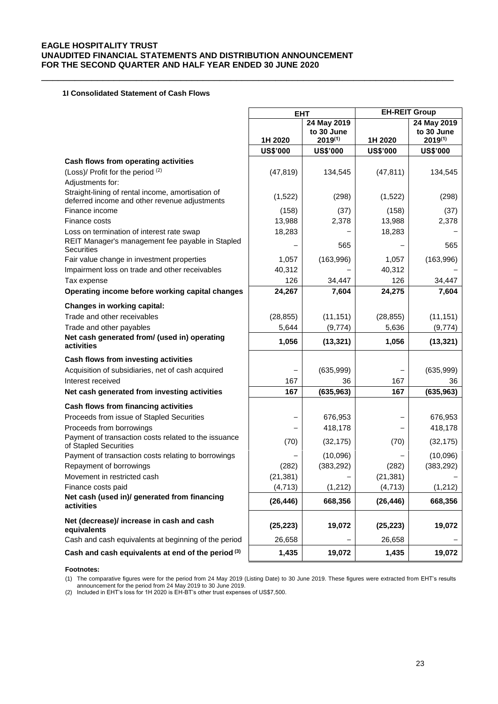\_\_\_\_\_\_\_\_\_\_\_\_\_\_\_\_\_\_\_\_\_\_\_\_\_\_\_\_\_\_\_\_\_\_\_\_\_\_\_\_\_\_\_\_\_\_\_\_\_\_\_\_\_\_\_\_\_\_\_\_\_\_\_\_\_\_\_\_\_\_\_\_\_\_

## **1I Consolidated Statement of Cash Flows**

|                                                                                                    |                 | <b>EHT</b>                                |                 | <b>EH-REIT Group</b>                      |
|----------------------------------------------------------------------------------------------------|-----------------|-------------------------------------------|-----------------|-------------------------------------------|
|                                                                                                    | 1H 2020         | 24 May 2019<br>to 30 June<br>$2019^{(1)}$ | 1H 2020         | 24 May 2019<br>to 30 June<br>$2019^{(1)}$ |
|                                                                                                    | <b>US\$'000</b> | <b>US\$'000</b>                           | <b>US\$'000</b> | <b>US\$'000</b>                           |
| Cash flows from operating activities                                                               |                 |                                           |                 |                                           |
| (Loss)/ Profit for the period (2)                                                                  | (47, 819)       | 134,545                                   | (47, 811)       | 134,545                                   |
| Adjustments for:                                                                                   |                 |                                           |                 |                                           |
| Straight-lining of rental income, amortisation of<br>deferred income and other revenue adjustments | (1,522)         | (298)                                     | (1,522)         | (298)                                     |
| Finance income                                                                                     | (158)           | (37)                                      | (158)           | (37)                                      |
| Finance costs                                                                                      | 13,988          | 2,378                                     | 13,988          | 2,378                                     |
| Loss on termination of interest rate swap                                                          | 18,283          |                                           | 18,283          |                                           |
| REIT Manager's management fee payable in Stapled<br><b>Securities</b>                              |                 | 565                                       |                 | 565                                       |
| Fair value change in investment properties                                                         | 1,057           | (163,996)                                 | 1,057           | (163,996)                                 |
| Impairment loss on trade and other receivables                                                     | 40,312          |                                           | 40,312          |                                           |
| Tax expense                                                                                        | 126             | 34,447                                    | 126             | 34,447                                    |
| Operating income before working capital changes                                                    | 24,267          | 7,604                                     | 24,275          | 7,604                                     |
| <b>Changes in working capital:</b>                                                                 |                 |                                           |                 |                                           |
| Trade and other receivables                                                                        | (28, 855)       | (11, 151)                                 | (28, 855)       | (11, 151)                                 |
| Trade and other payables                                                                           | 5,644           | (9,774)                                   | 5,636           | (9, 774)                                  |
| Net cash generated from/ (used in) operating<br>activities                                         | 1,056           | (13, 321)                                 | 1,056           | (13, 321)                                 |
| Cash flows from investing activities                                                               |                 |                                           |                 |                                           |
| Acquisition of subsidiaries, net of cash acquired                                                  |                 | (635,999)                                 |                 | (635,999)                                 |
| Interest received                                                                                  | 167             | 36                                        | 167             | 36                                        |
| Net cash generated from investing activities                                                       | 167             | (635, 963)                                | 167             | (635, 963)                                |
| Cash flows from financing activities                                                               |                 |                                           |                 |                                           |
| Proceeds from issue of Stapled Securities                                                          |                 | 676,953                                   |                 | 676,953                                   |
| Proceeds from borrowings                                                                           |                 | 418,178                                   |                 | 418,178                                   |
| Payment of transaction costs related to the issuance<br>of Stapled Securities                      | (70)            | (32, 175)                                 | (70)            | (32, 175)                                 |
| Payment of transaction costs relating to borrowings                                                |                 | (10,096)                                  |                 | (10,096)                                  |
| Repayment of borrowings                                                                            | (282)           | (383, 292)                                | (282)           | (383, 292)                                |
| Movement in restricted cash                                                                        | (21, 381)       |                                           | (21, 381)       |                                           |
| Finance costs paid                                                                                 | (4, 713)        | (1, 212)                                  | (4, 713)        | (1, 212)                                  |
| Net cash (used in)/ generated from financing<br>activities                                         | (26, 446)       | 668,356                                   | (26, 446)       | 668,356                                   |
| Net (decrease)/ increase in cash and cash<br>equivalents                                           | (25, 223)       | 19,072                                    | (25, 223)       | 19,072                                    |
| Cash and cash equivalents at beginning of the period                                               | 26,658          |                                           | 26,658          |                                           |
| Cash and cash equivalents at end of the period (3)                                                 | 1,435           | 19,072                                    | 1,435           | 19,072                                    |

**Footnotes:**

(1) The comparative figures were for the period from 24 May 2019 (Listing Date) to 30 June 2019. These figures were extracted from EHT's results

announcement for the period from 24 May 2019 to 30 June 2019. (2) Included in EHT's loss for 1H 2020 is EH-BT's other trust expenses of US\$7,500.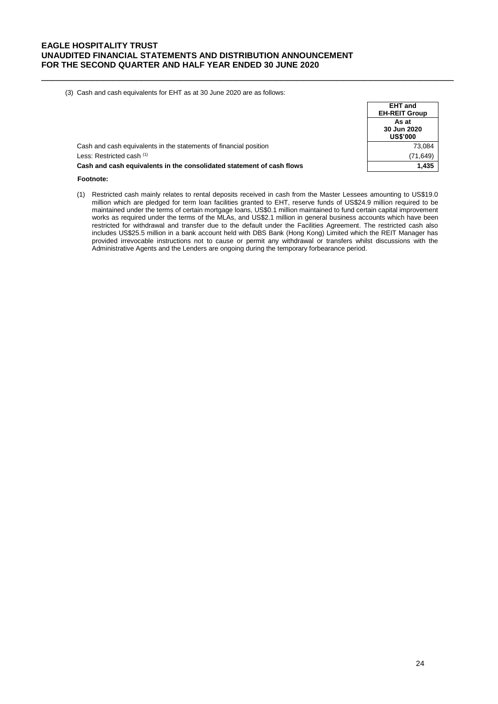(3) Cash and cash equivalents for EHT as at 30 June 2020 are as follows:

|                                                                       | <b>EHT</b> and<br><b>EH-REIT Group</b>  |
|-----------------------------------------------------------------------|-----------------------------------------|
|                                                                       | As at<br>30 Jun 2020<br><b>US\$'000</b> |
| Cash and cash equivalents in the statements of financial position     | 73,084                                  |
| Less: Restricted cash (1)                                             | (71,649)                                |
| Cash and cash equivalents in the consolidated statement of cash flows | 1,435                                   |

\_\_\_\_\_\_\_\_\_\_\_\_\_\_\_\_\_\_\_\_\_\_\_\_\_\_\_\_\_\_\_\_\_\_\_\_\_\_\_\_\_\_\_\_\_\_\_\_\_\_\_\_\_\_\_\_\_\_\_\_\_\_\_\_\_\_\_\_\_\_\_\_\_\_

# **Footnote:**

(1) Restricted cash mainly relates to rental deposits received in cash from the Master Lessees amounting to US\$19.0 million which are pledged for term loan facilities granted to EHT, reserve funds of US\$24.9 million required to be maintained under the terms of certain mortgage loans, US\$0.1 million maintained to fund certain capital improvement works as required under the terms of the MLAs, and US\$2.1 million in general business accounts which have been restricted for withdrawal and transfer due to the default under the Facilities Agreement. The restricted cash also includes US\$25.5 million in a bank account held with DBS Bank (Hong Kong) Limited which the REIT Manager has provided irrevocable instructions not to cause or permit any withdrawal or transfers whilst discussions with the Administrative Agents and the Lenders are ongoing during the temporary forbearance period.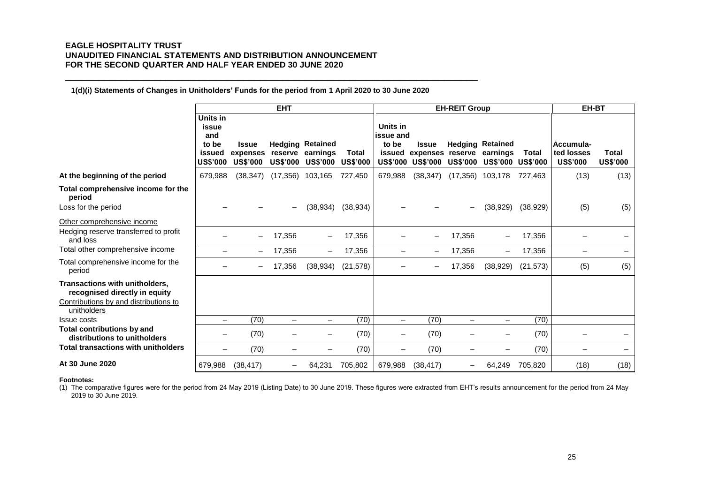**1(d)(i) Statements of Changes in Unitholders' Funds for the period from 1 April 2020 to 30 June 2020**

\_\_\_\_\_\_\_\_\_\_\_\_\_\_\_\_\_\_\_\_\_\_\_\_\_\_\_\_\_\_\_\_\_\_\_\_\_\_\_\_\_\_\_\_\_\_\_\_\_\_\_\_\_\_\_\_\_\_\_\_\_\_\_\_\_\_\_\_\_\_\_\_\_\_

|                                                                                                                                |                                                                |                                             | <b>EHT</b>                 |                                                        |                          | <b>EH-REIT Group</b>                              |                                                            |                          |                                                                 |              | EH-BT                                      |                          |
|--------------------------------------------------------------------------------------------------------------------------------|----------------------------------------------------------------|---------------------------------------------|----------------------------|--------------------------------------------------------|--------------------------|---------------------------------------------------|------------------------------------------------------------|--------------------------|-----------------------------------------------------------------|--------------|--------------------------------------------|--------------------------|
|                                                                                                                                | Units in<br>issue<br>and<br>to be<br>issued<br><b>US\$'000</b> | <b>Issue</b><br>expenses<br><b>US\$'000</b> | reserve<br><b>US\$'000</b> | <b>Hedging Retained</b><br>earnings<br><b>US\$'000</b> | Total<br><b>US\$'000</b> | Units in<br>issue and<br>to be<br><b>US\$'000</b> | <b>Issue</b><br>issued expenses reserve<br><b>US\$'000</b> | <b>US\$'000</b>          | <b>Hedging Retained</b><br>earnings<br><b>US\$'000 US\$'000</b> | <b>Total</b> | Accumula-<br>ted losses<br><b>US\$'000</b> | Total<br><b>US\$'000</b> |
| At the beginning of the period                                                                                                 | 679,988                                                        | (38, 347)                                   | (17, 356)                  | 103,165                                                | 727,450                  | 679,988                                           | (38, 347)                                                  | (17, 356)                | 103,178                                                         | 727,463      | (13)                                       | (13)                     |
| Total comprehensive income for the<br>period<br>Loss for the period                                                            |                                                                |                                             | $\qquad \qquad -$          | (38, 934)                                              | (38, 934)                |                                                   |                                                            | -                        | (38,929)                                                        | (38, 929)    | (5)                                        | (5)                      |
| Other comprehensive income                                                                                                     |                                                                |                                             |                            |                                                        |                          |                                                   |                                                            |                          |                                                                 |              |                                            |                          |
| Hedging reserve transferred to profit<br>and loss                                                                              |                                                                |                                             | 17,356                     |                                                        | 17,356                   |                                                   |                                                            | 17,356                   |                                                                 | 17,356       |                                            |                          |
| Total other comprehensive income                                                                                               | $\overline{\phantom{0}}$                                       |                                             | 17,356                     | $\qquad \qquad -$                                      | 17,356                   | -                                                 | -                                                          | 17,356                   | -                                                               | 17,356       | -                                          | $\overline{\phantom{m}}$ |
| Total comprehensive income for the<br>period                                                                                   |                                                                |                                             | 17,356                     | (38, 934)                                              | (21, 578)                |                                                   |                                                            | 17,356                   | (38, 929)                                                       | (21, 573)    | (5)                                        | (5)                      |
| <b>Transactions with unitholders.</b><br>recognised directly in equity<br>Contributions by and distributions to<br>unitholders |                                                                |                                             |                            |                                                        |                          |                                                   |                                                            |                          |                                                                 |              |                                            |                          |
| Issue costs                                                                                                                    | $\qquad \qquad -$                                              | (70)                                        | $\qquad \qquad -$          | $\overline{\phantom{0}}$                               | (70)                     | $\qquad \qquad -$                                 | (70)                                                       | $\overline{\phantom{0}}$ | -                                                               | (70)         |                                            |                          |
| Total contributions by and<br>distributions to unitholders                                                                     |                                                                | (70)                                        |                            |                                                        | (70)                     | -                                                 | (70)                                                       |                          |                                                                 | (70)         |                                            |                          |
| <b>Total transactions with unitholders</b>                                                                                     |                                                                | (70)                                        |                            |                                                        | (70)                     | —                                                 | (70)                                                       |                          |                                                                 | (70)         | $\overline{\phantom{0}}$                   |                          |
| At 30 June 2020                                                                                                                | 679,988                                                        | (38, 417)                                   |                            | 64,231                                                 | 705,802                  | 679,988                                           | (38, 417)                                                  |                          | 64,249                                                          | 705,820      | (18)                                       | (18)                     |

#### **Footnotes:**

(1) The comparative figures were for the period from 24 May 2019 (Listing Date) to 30 June 2019. These figures were extracted from EHT's results announcement for the period from 24 May 2019 to 30 June 2019.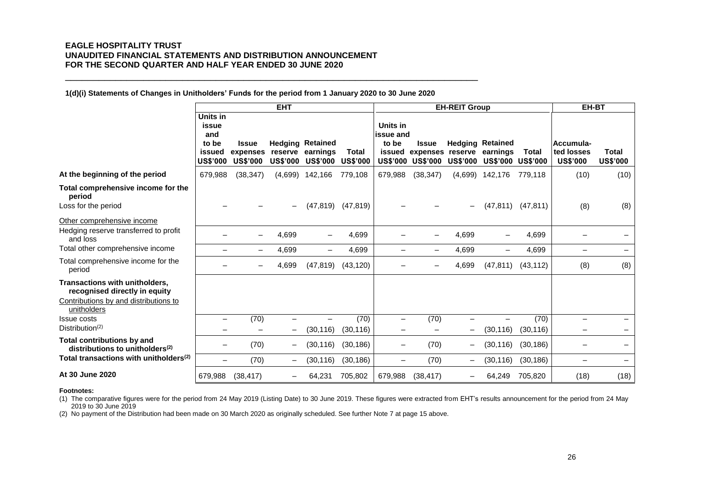**1(d)(i) Statements of Changes in Unitholders' Funds for the period from 1 January 2020 to 30 June 2020**

\_\_\_\_\_\_\_\_\_\_\_\_\_\_\_\_\_\_\_\_\_\_\_\_\_\_\_\_\_\_\_\_\_\_\_\_\_\_\_\_\_\_\_\_\_\_\_\_\_\_\_\_\_\_\_\_\_\_\_\_\_\_\_\_\_\_\_\_\_\_\_\_\_\_

|                                                                                                                         |                                                                |                                             | <b>EHT</b>               |                                                                |                                 |                                                             |                                              | <b>EH-REIT Group</b>     |                                                                 |              | EH-BT                                      |                          |
|-------------------------------------------------------------------------------------------------------------------------|----------------------------------------------------------------|---------------------------------------------|--------------------------|----------------------------------------------------------------|---------------------------------|-------------------------------------------------------------|----------------------------------------------|--------------------------|-----------------------------------------------------------------|--------------|--------------------------------------------|--------------------------|
|                                                                                                                         | Units in<br>issue<br>and<br>to be<br>issued<br><b>US\$'000</b> | <b>Issue</b><br>expenses<br><b>US\$'000</b> | <b>US\$'000</b>          | <b>Hedging Retained</b><br>reserve earnings<br><b>US\$'000</b> | <b>Total</b><br><b>US\$'000</b> | Units in<br>issue and<br>to be<br>issued<br><b>US\$'000</b> | Issue<br>expenses reserve<br><b>US\$'000</b> | <b>US\$'000</b>          | <b>Hedging Retained</b><br>earnings<br><b>US\$'000 US\$'000</b> | <b>Total</b> | Accumula-<br>ted losses<br><b>US\$'000</b> | Total<br><b>US\$'000</b> |
| At the beginning of the period                                                                                          | 679,988                                                        | (38, 347)                                   | (4,699)                  | 142,166                                                        | 779,108                         | 679,988                                                     | (38, 347)                                    | (4,699)                  | 142,176                                                         | 779.118      | (10)                                       | (10)                     |
| Total comprehensive income for the<br>period<br>Loss for the period                                                     |                                                                |                                             | $\qquad \qquad -$        | (47, 819)                                                      | (47, 819)                       |                                                             |                                              | $\overline{\phantom{0}}$ | (47, 811)                                                       | (47, 811)    | (8)                                        | (8)                      |
| Other comprehensive income                                                                                              |                                                                |                                             |                          |                                                                |                                 |                                                             |                                              |                          |                                                                 |              |                                            |                          |
| Hedging reserve transferred to profit<br>and loss                                                                       |                                                                |                                             | 4,699                    |                                                                | 4,699                           |                                                             |                                              | 4,699                    |                                                                 | 4,699        |                                            |                          |
| Total other comprehensive income                                                                                        |                                                                |                                             | 4,699                    |                                                                | 4,699                           |                                                             |                                              | 4,699                    | $\qquad \qquad -$                                               | 4,699        | $\qquad \qquad -$                          | $\qquad \qquad -$        |
| Total comprehensive income for the<br>period                                                                            |                                                                |                                             | 4,699                    | (47, 819)                                                      | (43, 120)                       |                                                             |                                              | 4,699                    | (47, 811)                                                       | (43, 112)    | (8)                                        | (8)                      |
| Transactions with unitholders,<br>recognised directly in equity<br>Contributions by and distributions to<br>unitholders |                                                                |                                             |                          |                                                                |                                 |                                                             |                                              |                          |                                                                 |              |                                            |                          |
| <b>Issue costs</b><br>Distribution <sup>(2)</sup>                                                                       | $\overline{\phantom{0}}$                                       | (70)                                        | $\overline{\phantom{0}}$ |                                                                | (70)                            |                                                             | (70)                                         |                          |                                                                 | (70)         |                                            |                          |
|                                                                                                                         |                                                                |                                             | $\qquad \qquad -$        | (30, 116)                                                      | (30, 116)                       |                                                             |                                              | $\overline{\phantom{0}}$ | (30, 116)                                                       | (30, 116)    |                                            |                          |
| <b>Total contributions by and</b><br>distributions to unitholders <sup>(2)</sup>                                        |                                                                | (70)                                        | $\qquad \qquad -$        | (30, 116)                                                      | (30, 186)                       |                                                             | (70)                                         | -                        | (30, 116)                                                       | (30, 186)    |                                            |                          |
| Total transactions with unitholders <sup>(2)</sup>                                                                      | $\overline{\phantom{0}}$                                       | (70)                                        | $\qquad \qquad -$        | (30,116)                                                       | (30, 186)                       | $\overline{\phantom{0}}$                                    | (70)                                         | $\overline{\phantom{0}}$ | (30, 116)                                                       | (30, 186)    |                                            | $\overline{\phantom{0}}$ |
| At 30 June 2020                                                                                                         | 679,988                                                        | (38, 417)                                   | —                        | 64,231                                                         | 705,802                         | 679,988                                                     | (38, 417)                                    |                          | 64,249                                                          | 705,820      | (18)                                       | (18)                     |

#### **Footnotes:**

(1) The comparative figures were for the period from 24 May 2019 (Listing Date) to 30 June 2019. These figures were extracted from EHT's results announcement for the period from 24 May 2019 to 30 June 2019

(2) No payment of the Distribution had been made on 30 March 2020 as originally scheduled. See further Note 7 at page 15 above.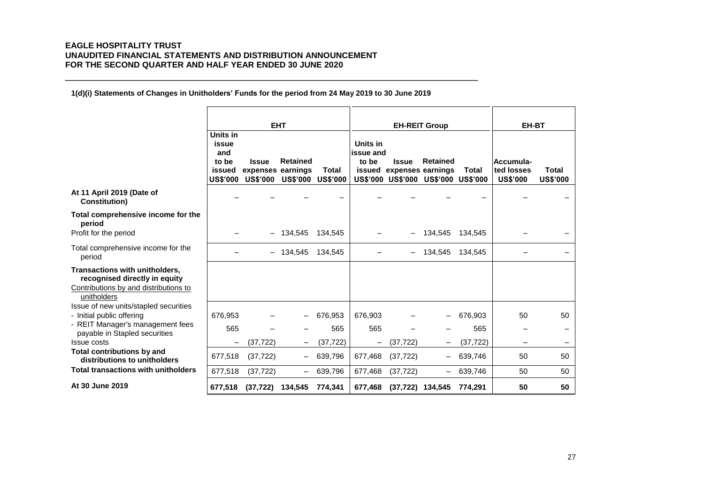**1(d)(i) Statements of Changes in Unitholders' Funds for the period from 24 May 2019 to 30 June 2019**

\_\_\_\_\_\_\_\_\_\_\_\_\_\_\_\_\_\_\_\_\_\_\_\_\_\_\_\_\_\_\_\_\_\_\_\_\_\_\_\_\_\_\_\_\_\_\_\_\_\_\_\_\_\_\_\_\_\_\_\_\_\_\_\_\_\_\_\_\_\_\_\_\_\_

|                                                                                                                         |                                                                | <b>EHT</b>                        |                                               |                  |                                | <b>EH-REIT Group</b>                     |                                                        |                  | EH-BT                                      |                                 |
|-------------------------------------------------------------------------------------------------------------------------|----------------------------------------------------------------|-----------------------------------|-----------------------------------------------|------------------|--------------------------------|------------------------------------------|--------------------------------------------------------|------------------|--------------------------------------------|---------------------------------|
|                                                                                                                         | Units in<br>issue<br>and<br>to be<br>issued<br><b>US\$'000</b> | <b>Issue</b><br>expenses earnings | <b>Retained</b><br>US\$'000 US\$'000 US\$'000 | Total            | Units in<br>issue and<br>to be | <b>Issue</b><br>issued expenses earnings | <b>Retained</b><br>US\$'000 US\$'000 US\$'000 US\$'000 | <b>Total</b>     | Accumula-<br>ted losses<br><b>US\$'000</b> | <b>Total</b><br><b>US\$'000</b> |
| At 11 April 2019 (Date of<br><b>Constitution</b> )                                                                      |                                                                |                                   |                                               |                  |                                |                                          |                                                        |                  |                                            |                                 |
| Total comprehensive income for the<br>period<br>Profit for the period                                                   |                                                                |                                   | 134,545                                       | 134,545          |                                |                                          | 134,545                                                | 134,545          |                                            |                                 |
| Total comprehensive income for the<br>period                                                                            |                                                                |                                   | 134.545                                       | 134.545          |                                |                                          | 134.545                                                | 134.545          |                                            |                                 |
| Transactions with unitholders,<br>recognised directly in equity<br>Contributions by and distributions to<br>unitholders |                                                                |                                   |                                               |                  |                                |                                          |                                                        |                  |                                            |                                 |
| Issue of new units/stapled securities<br>- Initial public offering                                                      | 676,953                                                        |                                   |                                               | 676,953          | 676,903                        |                                          |                                                        | 676,903          | 50                                         | 50                              |
| - REIT Manager's management fees<br>payable in Stapled securities<br><b>Issue costs</b>                                 | 565<br>-                                                       | (37, 722)                         |                                               | 565<br>(37, 722) | 565                            | (37,722)                                 |                                                        | 565<br>(37, 722) |                                            |                                 |
| <b>Total contributions by and</b><br>distributions to unitholders                                                       | 677,518                                                        | (37, 722)                         |                                               | 639,796          | 677,468                        | (37, 722)                                |                                                        | 639,746          | 50                                         | 50                              |
| Total transactions with unitholders                                                                                     | 677,518                                                        | (37, 722)                         | $\qquad \qquad -$                             | 639,796          | 677,468                        | (37, 722)                                |                                                        | 639,746          | 50                                         | 50                              |
| At 30 June 2019                                                                                                         | 677,518                                                        | (37, 722)                         | 134,545                                       | 774,341          | 677,468                        | $(37,722)$ 134,545                       |                                                        | 774,291          | 50                                         | 50                              |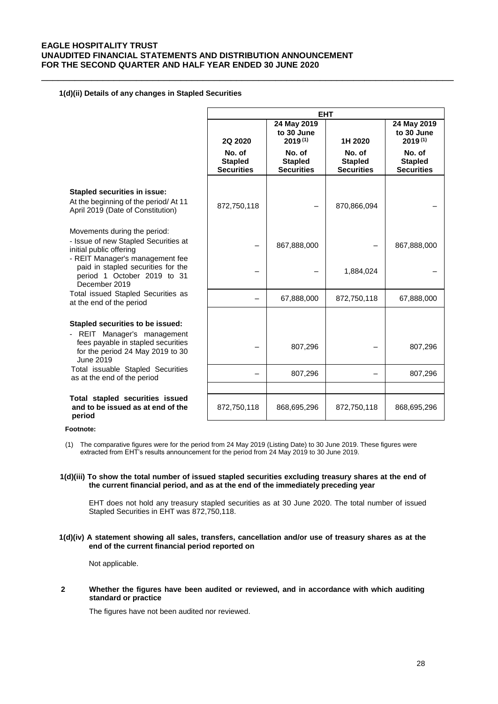\_\_\_\_\_\_\_\_\_\_\_\_\_\_\_\_\_\_\_\_\_\_\_\_\_\_\_\_\_\_\_\_\_\_\_\_\_\_\_\_\_\_\_\_\_\_\_\_\_\_\_\_\_\_\_\_\_\_\_\_\_\_\_\_\_\_\_\_\_\_\_\_\_\_

### **1(d)(ii) Details of any changes in Stapled Securities**

|                                                                                                                       |                                               | <b>EHT</b>                                    |                                               |                                               |
|-----------------------------------------------------------------------------------------------------------------------|-----------------------------------------------|-----------------------------------------------|-----------------------------------------------|-----------------------------------------------|
|                                                                                                                       | 2Q 2020                                       | 24 May 2019<br>to 30 June<br>$2019^{(1)}$     | 1H 2020                                       | 24 May 2019<br>to 30 June<br>$2019^{(1)}$     |
|                                                                                                                       | No. of<br><b>Stapled</b><br><b>Securities</b> | No. of<br><b>Stapled</b><br><b>Securities</b> | No. of<br><b>Stapled</b><br><b>Securities</b> | No. of<br><b>Stapled</b><br><b>Securities</b> |
| <b>Stapled securities in issue:</b>                                                                                   |                                               |                                               |                                               |                                               |
| At the beginning of the period/At 11<br>April 2019 (Date of Constitution)                                             | 872,750,118                                   |                                               | 870,866,094                                   |                                               |
| Movements during the period:<br>- Issue of new Stapled Securities at<br>initial public offering                       |                                               | 867,888,000                                   |                                               | 867,888,000                                   |
| - REIT Manager's management fee<br>paid in stapled securities for the<br>period 1 October 2019 to 31<br>December 2019 |                                               |                                               | 1,884,024                                     |                                               |
| Total issued Stapled Securities as<br>at the end of the period                                                        |                                               | 67,888,000                                    | 872,750,118                                   | 67,888,000                                    |
| Stapled securities to be issued:<br>- REIT Manager's management                                                       |                                               |                                               |                                               |                                               |
| fees payable in stapled securities<br>for the period 24 May 2019 to 30<br>June 2019                                   |                                               | 807,296                                       |                                               | 807,296                                       |
| Total issuable Stapled Securities<br>as at the end of the period                                                      |                                               | 807,296                                       |                                               | 807,296                                       |
| Total stapled securities issued<br>and to be issued as at end of the<br>period                                        | 872,750,118                                   | 868,695,296                                   | 872,750,118                                   | 868,695,296                                   |

# **period Footnote:**

(1) The comparative figures were for the period from 24 May 2019 (Listing Date) to 30 June 2019. These figures were extracted from EHT's results announcement for the period from 24 May 2019 to 30 June 2019.

### **1(d)(iii) To show the total number of issued stapled securities excluding treasury shares at the end of the current financial period, and as at the end of the immediately preceding year**

EHT does not hold any treasury stapled securities as at 30 June 2020. The total number of issued Stapled Securities in EHT was 872,750,118.

### **1(d)(iv) A statement showing all sales, transfers, cancellation and/or use of treasury shares as at the end of the current financial period reported on**

Not applicable.

### **2 Whether the figures have been audited or reviewed, and in accordance with which auditing standard or practice**

The figures have not been audited nor reviewed.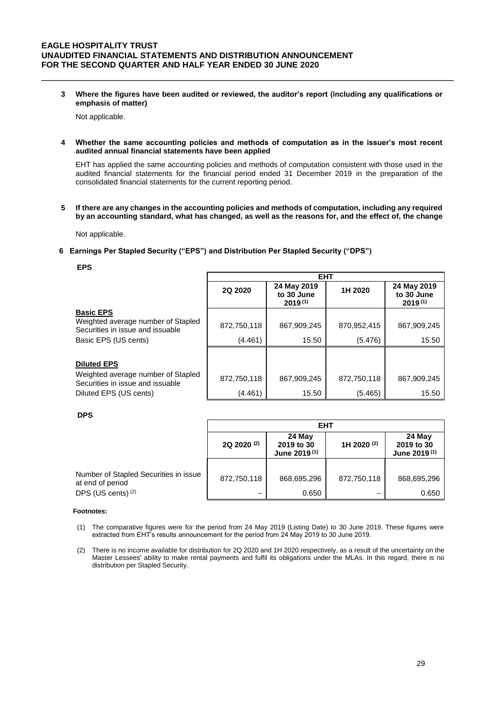**3 Where the figures have been audited or reviewed, the auditor's report (including any qualifications or emphasis of matter)**

\_\_\_\_\_\_\_\_\_\_\_\_\_\_\_\_\_\_\_\_\_\_\_\_\_\_\_\_\_\_\_\_\_\_\_\_\_\_\_\_\_\_\_\_\_\_\_\_\_\_\_\_\_\_\_\_\_\_\_\_\_\_\_\_\_\_\_\_\_\_\_\_\_\_

Not applicable.

**4 Whether the same accounting policies and methods of computation as in the issuer's most recent audited annual financial statements have been applied**

EHT has applied the same accounting policies and methods of computation consistent with those used in the audited financial statements for the financial period ended 31 December 2019 in the preparation of the consolidated financial statements for the current reporting period.

**5 If there are any changes in the accounting policies and methods of computation, including any required by an accounting standard, what has changed, as well as the reasons for, and the effect of, the change**

Not applicable.

### **6 Earnings Per Stapled Security ("EPS") and Distribution Per Stapled Security ("DPS")**

#### **EPS**

|                                                                        |             | <b>EHT</b>                                |             |                                           |
|------------------------------------------------------------------------|-------------|-------------------------------------------|-------------|-------------------------------------------|
|                                                                        | 2Q 2020     | 24 May 2019<br>to 30 June<br>$2019^{(1)}$ | 1H 2020     | 24 May 2019<br>to 30 June<br>$2019^{(1)}$ |
| <b>Basic EPS</b>                                                       |             |                                           |             |                                           |
| Weighted average number of Stapled<br>Securities in issue and issuable | 872,750,118 | 867,909,245                               | 870,952,415 | 867,909,245                               |
| Basic EPS (US cents)                                                   | (4.461)     | 15.50                                     | (5.476)     | 15.50                                     |
|                                                                        |             |                                           |             |                                           |
| <b>Diluted EPS</b>                                                     |             |                                           |             |                                           |
| Weighted average number of Stapled<br>Securities in issue and issuable | 872,750,118 | 867,909,245                               | 872,750,118 | 867,909,245                               |
| Diluted EPS (US cents)                                                 | (4.461)     | 15.50                                     | (5.465)     | 15.50                                     |

#### **DPS**

|                                                           |                        | <b>EHT</b>                                       |                        |                                                  |  |  |  |
|-----------------------------------------------------------|------------------------|--------------------------------------------------|------------------------|--------------------------------------------------|--|--|--|
|                                                           | 2Q 2020 <sup>(2)</sup> | 24 May<br>2019 to 30<br>June 2019 <sup>(1)</sup> | 1H 2020 <sup>(2)</sup> | 24 May<br>2019 to 30<br>June 2019 <sup>(1)</sup> |  |  |  |
| Number of Stapled Securities in issue<br>at end of period | 872,750,118            | 868,695,296                                      | 872,750,118            | 868,695,296                                      |  |  |  |
| DPS (US cents) <sup>(2)</sup>                             |                        | 0.650                                            |                        | 0.650                                            |  |  |  |

#### **Footnotes:**

- (1) The comparative figures were for the period from 24 May 2019 (Listing Date) to 30 June 2019. These figures were extracted from EHT's results announcement for the period from 24 May 2019 to 30 June 2019.
- (2) There is no income available for distribution for 2Q 2020 and 1H 2020 respectively, as a result of the uncertainty on the Master Lessees' ability to make rental payments and fulfil its obligations under the MLAs. In this regard, there is no distribution per Stapled Security.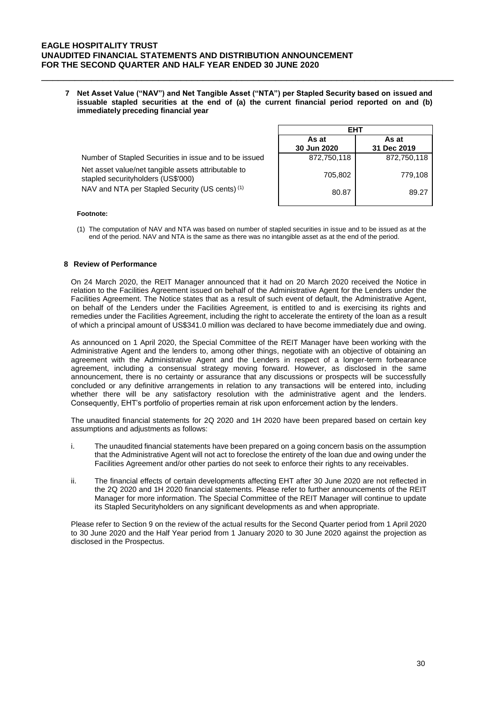**7 Net Asset Value ("NAV") and Net Tangible Asset ("NTA") per Stapled Security based on issued and issuable stapled securities at the end of (a) the current financial period reported on and (b) immediately preceding financial year**

\_\_\_\_\_\_\_\_\_\_\_\_\_\_\_\_\_\_\_\_\_\_\_\_\_\_\_\_\_\_\_\_\_\_\_\_\_\_\_\_\_\_\_\_\_\_\_\_\_\_\_\_\_\_\_\_\_\_\_\_\_\_\_\_\_\_\_\_\_\_\_\_\_\_

|                                                                                            | FHT                  |                      |  |
|--------------------------------------------------------------------------------------------|----------------------|----------------------|--|
|                                                                                            | As at<br>30 Jun 2020 | As at<br>31 Dec 2019 |  |
| Number of Stapled Securities in issue and to be issued                                     | 872,750,118          | 872,750,118          |  |
| Net asset value/net tangible assets attributable to<br>stapled security holders (US\$'000) | 705,802              | 779,108              |  |
| NAV and NTA per Stapled Security (US cents) <sup>(1)</sup>                                 | 80.87                | 89.27                |  |

#### **Footnote:**

(1) The computation of NAV and NTA was based on number of stapled securities in issue and to be issued as at the end of the period. NAV and NTA is the same as there was no intangible asset as at the end of the period.

### **8 Review of Performance**

On 24 March 2020, the REIT Manager announced that it had on 20 March 2020 received the Notice in relation to the Facilities Agreement issued on behalf of the Administrative Agent for the Lenders under the Facilities Agreement. The Notice states that as a result of such event of default, the Administrative Agent, on behalf of the Lenders under the Facilities Agreement, is entitled to and is exercising its rights and remedies under the Facilities Agreement, including the right to accelerate the entirety of the loan as a result of which a principal amount of US\$341.0 million was declared to have become immediately due and owing.

As announced on 1 April 2020, the Special Committee of the REIT Manager have been working with the Administrative Agent and the lenders to, among other things, negotiate with an objective of obtaining an agreement with the Administrative Agent and the Lenders in respect of a longer-term forbearance agreement, including a consensual strategy moving forward. However, as disclosed in the same announcement, there is no certainty or assurance that any discussions or prospects will be successfully concluded or any definitive arrangements in relation to any transactions will be entered into, including whether there will be any satisfactory resolution with the administrative agent and the lenders. Consequently, EHT's portfolio of properties remain at risk upon enforcement action by the lenders.

The unaudited financial statements for 2Q 2020 and 1H 2020 have been prepared based on certain key assumptions and adjustments as follows:

- i. The unaudited financial statements have been prepared on a going concern basis on the assumption that the Administrative Agent will not act to foreclose the entirety of the loan due and owing under the Facilities Agreement and/or other parties do not seek to enforce their rights to any receivables.
- ii. The financial effects of certain developments affecting EHT after 30 June 2020 are not reflected in the 2Q 2020 and 1H 2020 financial statements. Please refer to further announcements of the REIT Manager for more information. The Special Committee of the REIT Manager will continue to update its Stapled Securityholders on any significant developments as and when appropriate.

Please refer to Section 9 on the review of the actual results for the Second Quarter period from 1 April 2020 to 30 June 2020 and the Half Year period from 1 January 2020 to 30 June 2020 against the projection as disclosed in the Prospectus.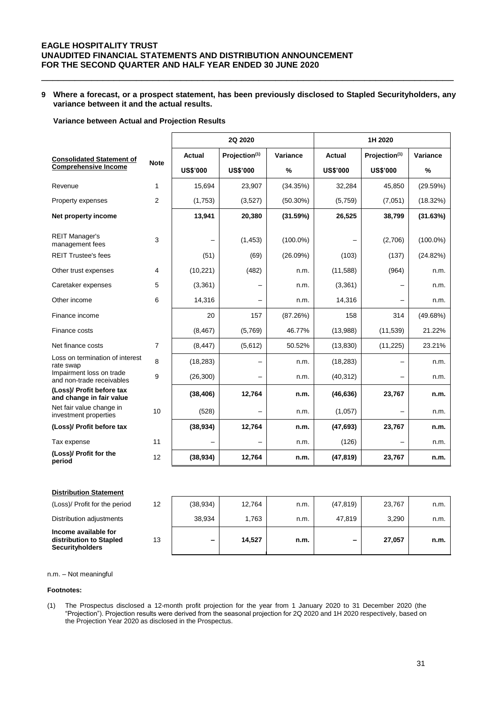## **9 Where a forecast, or a prospect statement, has been previously disclosed to Stapled Securityholders, any variance between it and the actual results.**

\_\_\_\_\_\_\_\_\_\_\_\_\_\_\_\_\_\_\_\_\_\_\_\_\_\_\_\_\_\_\_\_\_\_\_\_\_\_\_\_\_\_\_\_\_\_\_\_\_\_\_\_\_\_\_\_\_\_\_\_\_\_\_\_\_\_\_\_\_\_\_\_\_\_

#### **Variance between Actual and Projection Results**

|                                                       |                |                 | 2Q 2020                   |             | 1H 2020         |                 |             |  |
|-------------------------------------------------------|----------------|-----------------|---------------------------|-------------|-----------------|-----------------|-------------|--|
| <b>Consolidated Statement of</b>                      |                | <b>Actual</b>   | Projection <sup>(1)</sup> | Variance    | Actual          | Projection(1)   | Variance    |  |
| <b>Comprehensive Income</b>                           | <b>Note</b>    | <b>US\$'000</b> | <b>US\$'000</b>           | %           | <b>US\$'000</b> | <b>US\$'000</b> | %           |  |
| Revenue                                               | $\mathbf{1}$   | 15,694          | 23,907                    | (34.35%)    | 32,284          | 45,850          | (29.59%)    |  |
| Property expenses                                     | $\overline{2}$ | (1,753)         | (3,527)                   | $(50.30\%)$ | (5,759)         | (7,051)         | (18.32%)    |  |
| Net property income                                   |                | 13,941          | 20,380                    | (31.59%)    | 26,525          | 38,799          | (31.63%)    |  |
| <b>REIT Manager's</b><br>management fees              | 3              |                 | (1, 453)                  | $(100.0\%)$ |                 | (2,706)         | $(100.0\%)$ |  |
| <b>REIT Trustee's fees</b>                            |                | (51)            | (69)                      | (26.09%)    | (103)           | (137)           | (24.82%)    |  |
| Other trust expenses                                  | 4              | (10, 221)       | (482)                     | n.m.        | (11,588)        | (964)           | n.m.        |  |
| Caretaker expenses                                    | 5              | (3, 361)        |                           | n.m.        | (3,361)         |                 | n.m.        |  |
| Other income                                          | 6              | 14,316          | $\overline{\phantom{0}}$  | n.m.        | 14,316          |                 | n.m.        |  |
| Finance income                                        |                | 20              | 157                       | (87.26%)    | 158             | 314             | (49.68%)    |  |
| Finance costs                                         |                | (8, 467)        | (5,769)                   | 46.77%      | (13,988)        | (11, 539)       | 21.22%      |  |
| Net finance costs                                     | $\overline{7}$ | (8, 447)        | (5,612)                   | 50.52%      | (13, 830)       | (11, 225)       | 23.21%      |  |
| Loss on termination of interest<br>rate swap          | 8              | (18, 283)       |                           | n.m.        | (18, 283)       |                 | n.m.        |  |
| Impairment loss on trade<br>and non-trade receivables | 9              | (26, 300)       |                           | n.m.        | (40, 312)       |                 | n.m.        |  |
| (Loss)/ Profit before tax<br>and change in fair value |                | (38, 406)       | 12,764                    | n.m.        | (46, 636)       | 23,767          | n.m.        |  |
| Net fair value change in<br>investment properties     | 10             | (528)           |                           | n.m.        | (1,057)         |                 | n.m.        |  |
| (Loss)/ Profit before tax                             |                | (38, 934)       | 12,764                    | n.m.        | (47, 693)       | 23,767          | n.m.        |  |
| Tax expense                                           | 11             |                 |                           | n.m.        | (126)           |                 | n.m.        |  |
| (Loss)/ Profit for the<br>period                      | 12             | (38, 934)       | 12,764                    | n.m.        | (47, 819)       | 23,767          | n.m.        |  |

| <b>Distribution Statement</b>                                             |                   |           |        |      |           |        |      |
|---------------------------------------------------------------------------|-------------------|-----------|--------|------|-----------|--------|------|
| (Loss)/ Profit for the period                                             | $12 \overline{ }$ | (38, 934) | 12,764 | n.m. | (47, 819) | 23,767 | n.m. |
| Distribution adjustments                                                  |                   | 38.934    | 1.763  | n.m. | 47.819    | 3.290  | n.m. |
| Income available for<br>distribution to Stapled<br><b>Securityholders</b> | 13                | -         | 14.527 | n.m. |           | 27,057 | n.m. |

### n.m. – Not meaningful

#### **Footnotes:**

(1) The Prospectus disclosed a 12-month profit projection for the year from 1 January 2020 to 31 December 2020 (the "Projection"). Projection results were derived from the seasonal projection for 2Q 2020 and 1H 2020 respectively, based on the Projection Year 2020 as disclosed in the Prospectus.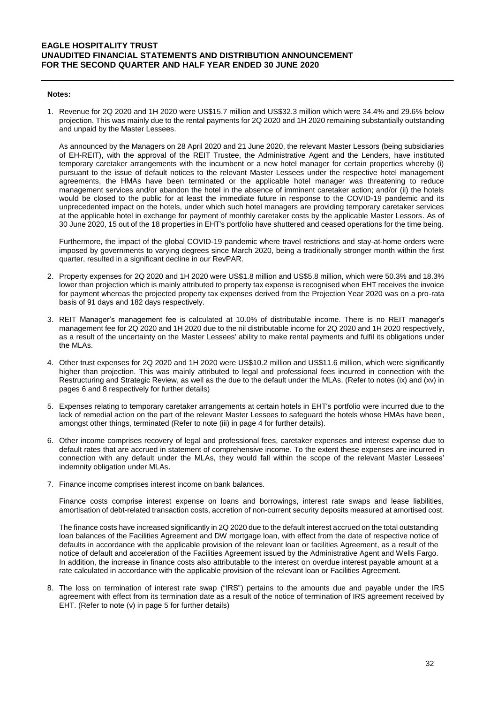#### **Notes:**

1. Revenue for 2Q 2020 and 1H 2020 were US\$15.7 million and US\$32.3 million which were 34.4% and 29.6% below projection. This was mainly due to the rental payments for 2Q 2020 and 1H 2020 remaining substantially outstanding and unpaid by the Master Lessees.

\_\_\_\_\_\_\_\_\_\_\_\_\_\_\_\_\_\_\_\_\_\_\_\_\_\_\_\_\_\_\_\_\_\_\_\_\_\_\_\_\_\_\_\_\_\_\_\_\_\_\_\_\_\_\_\_\_\_\_\_\_\_\_\_\_\_\_\_\_\_\_\_\_\_

As announced by the Managers on 28 April 2020 and 21 June 2020, the relevant Master Lessors (being subsidiaries of EH-REIT), with the approval of the REIT Trustee, the Administrative Agent and the Lenders, have instituted temporary caretaker arrangements with the incumbent or a new hotel manager for certain properties whereby (i) pursuant to the issue of default notices to the relevant Master Lessees under the respective hotel management agreements, the HMAs have been terminated or the applicable hotel manager was threatening to reduce management services and/or abandon the hotel in the absence of imminent caretaker action; and/or (ii) the hotels would be closed to the public for at least the immediate future in response to the COVID-19 pandemic and its unprecedented impact on the hotels, under which such hotel managers are providing temporary caretaker services at the applicable hotel in exchange for payment of monthly caretaker costs by the applicable Master Lessors. As of 30 June 2020, 15 out of the 18 properties in EHT's portfolio have shuttered and ceased operations for the time being.

Furthermore, the impact of the global COVID-19 pandemic where travel restrictions and stay-at-home orders were imposed by governments to varying degrees since March 2020, being a traditionally stronger month within the first quarter, resulted in a significant decline in our RevPAR.

- 2. Property expenses for 2Q 2020 and 1H 2020 were US\$1.8 million and US\$5.8 million, which were 50.3% and 18.3% lower than projection which is mainly attributed to property tax expense is recognised when EHT receives the invoice for payment whereas the projected property tax expenses derived from the Projection Year 2020 was on a pro-rata basis of 91 days and 182 days respectively.
- 3. REIT Manager's management fee is calculated at 10.0% of distributable income. There is no REIT manager's management fee for 2Q 2020 and 1H 2020 due to the nil distributable income for 2Q 2020 and 1H 2020 respectively, as a result of the uncertainty on the Master Lessees' ability to make rental payments and fulfil its obligations under the MLAs.
- 4. Other trust expenses for 2Q 2020 and 1H 2020 were US\$10.2 million and US\$11.6 million, which were significantly higher than projection. This was mainly attributed to legal and professional fees incurred in connection with the Restructuring and Strategic Review, as well as the due to the default under the MLAs. (Refer to notes (ix) and (xv) in pages 6 and 8 respectively for further details)
- 5. Expenses relating to temporary caretaker arrangements at certain hotels in EHT's portfolio were incurred due to the lack of remedial action on the part of the relevant Master Lessees to safeguard the hotels whose HMAs have been, amongst other things, terminated (Refer to note (iii) in page 4 for further details).
- 6. Other income comprises recovery of legal and professional fees, caretaker expenses and interest expense due to default rates that are accrued in statement of comprehensive income. To the extent these expenses are incurred in connection with any default under the MLAs, they would fall within the scope of the relevant Master Lessees' indemnity obligation under MLAs.
- 7. Finance income comprises interest income on bank balances.

Finance costs comprise interest expense on loans and borrowings, interest rate swaps and lease liabilities, amortisation of debt-related transaction costs, accretion of non-current security deposits measured at amortised cost.

The finance costs have increased significantly in 2Q 2020 due to the default interest accrued on the total outstanding loan balances of the Facilities Agreement and DW mortgage loan, with effect from the date of respective notice of defaults in accordance with the applicable provision of the relevant loan or facilities Agreement, as a result of the notice of default and acceleration of the Facilities Agreement issued by the Administrative Agent and Wells Fargo. In addition, the increase in finance costs also attributable to the interest on overdue interest payable amount at a rate calculated in accordance with the applicable provision of the relevant loan or Facilities Agreement.

8. The loss on termination of interest rate swap ("IRS") pertains to the amounts due and payable under the IRS agreement with effect from its termination date as a result of the notice of termination of IRS agreement received by EHT. (Refer to note (v) in page 5 for further details)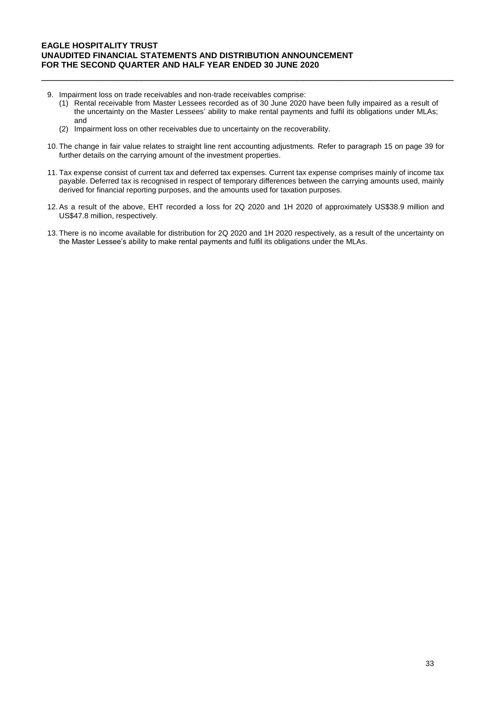- 9. Impairment loss on trade receivables and non-trade receivables comprise:
	- (1) Rental receivable from Master Lessees recorded as of 30 June 2020 have been fully impaired as a result of the uncertainty on the Master Lessees' ability to make rental payments and fulfil its obligations under MLAs; and

\_\_\_\_\_\_\_\_\_\_\_\_\_\_\_\_\_\_\_\_\_\_\_\_\_\_\_\_\_\_\_\_\_\_\_\_\_\_\_\_\_\_\_\_\_\_\_\_\_\_\_\_\_\_\_\_\_\_\_\_\_\_\_\_\_\_\_\_\_\_\_\_\_\_

- (2) Impairment loss on other receivables due to uncertainty on the recoverability.
- 10. The change in fair value relates to straight line rent accounting adjustments. Refer to paragraph 15 on page 39 for further details on the carrying amount of the investment properties.
- 11. Tax expense consist of current tax and deferred tax expenses. Current tax expense comprises mainly of income tax payable. Deferred tax is recognised in respect of temporary differences between the carrying amounts used, mainly derived for financial reporting purposes, and the amounts used for taxation purposes.
- 12. As a result of the above, EHT recorded a loss for 2Q 2020 and 1H 2020 of approximately US\$38.9 million and US\$47.8 million, respectively.
- 13. There is no income available for distribution for 2Q 2020 and 1H 2020 respectively, as a result of the uncertainty on the Master Lessee's ability to make rental payments and fulfil its obligations under the MLAs.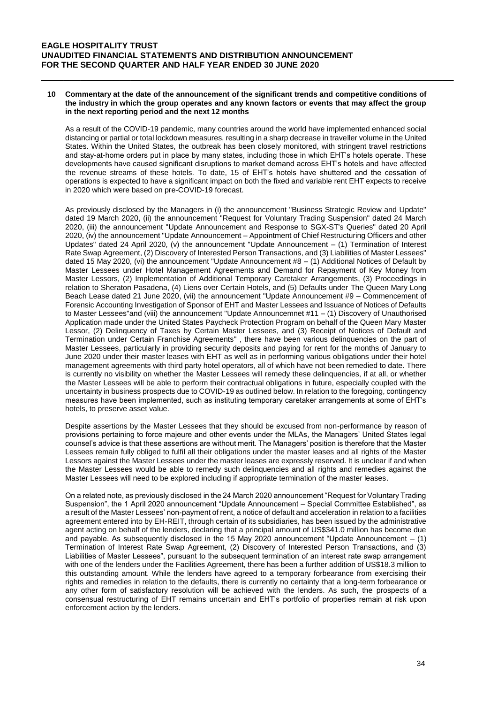#### **10 Commentary at the date of the announcement of the significant trends and competitive conditions of the industry in which the group operates and any known factors or events that may affect the group in the next reporting period and the next 12 months**

\_\_\_\_\_\_\_\_\_\_\_\_\_\_\_\_\_\_\_\_\_\_\_\_\_\_\_\_\_\_\_\_\_\_\_\_\_\_\_\_\_\_\_\_\_\_\_\_\_\_\_\_\_\_\_\_\_\_\_\_\_\_\_\_\_\_\_\_\_\_\_\_\_\_

As a result of the COVID-19 pandemic, many countries around the world have implemented enhanced social distancing or partial or total lockdown measures, resulting in a sharp decrease in traveller volume in the United States. Within the United States, the outbreak has been closely monitored, with stringent travel restrictions and stay-at-home orders put in place by many states, including those in which EHT's hotels operate. These developments have caused significant disruptions to market demand across EHT's hotels and have affected the revenue streams of these hotels. To date, 15 of EHT's hotels have shuttered and the cessation of operations is expected to have a significant impact on both the fixed and variable rent EHT expects to receive in 2020 which were based on pre-COVID-19 forecast.

As previously disclosed by the Managers in (i) the announcement "Business Strategic Review and Update" dated 19 March 2020, (ii) the announcement "Request for Voluntary Trading Suspension" dated 24 March 2020, (iii) the announcement "Update Announcement and Response to SGX-ST's Queries" dated 20 April 2020, (iv) the announcement "Update Announcement – Appointment of Chief Restructuring Officers and other Updates" dated 24 April 2020, (v) the announcement "Update Announcement – (1) Termination of Interest Rate Swap Agreement, (2) Discovery of Interested Person Transactions, and (3) Liabilities of Master Lessees" dated 15 May 2020, (vi) the announcement "Update Announcement #8 – (1) Additional Notices of Default by Master Lessees under Hotel Management Agreements and Demand for Repayment of Key Money from Master Lessors, (2) Implementation of Additional Temporary Caretaker Arrangements, (3) Proceedings in relation to Sheraton Pasadena, (4) Liens over Certain Hotels, and (5) Defaults under The Queen Mary Long Beach Lease dated 21 June 2020, (vii) the announcement "Update Announcement #9 – Commencement of Forensic Accounting Investigation of Sponsor of EHT and Master Lessees and Issuance of Notices of Defaults to Master Lessees"and (viii) the announcement "Update Announcemnet #11 – (1) Discovery of Unauthorised Application made under the United States Paycheck Protection Program on behalf of the Queen Mary Master Lessor, (2) Delinquency of Taxes by Certain Master Lessees, and (3) Receipt of Notices of Default and Termination under Certain Franchise Agreements" , there have been various delinquencies on the part of Master Lessees, particularly in providing security deposits and paying for rent for the months of January to June 2020 under their master leases with EHT as well as in performing various obligations under their hotel management agreements with third party hotel operators, all of which have not been remedied to date. There is currently no visibility on whether the Master Lessees will remedy these delinquencies, if at all, or whether the Master Lessees will be able to perform their contractual obligations in future, especially coupled with the uncertainty in business prospects due to COVID-19 as outlined below. In relation to the foregoing, contingency measures have been implemented, such as instituting temporary caretaker arrangements at some of EHT's hotels, to preserve asset value.

Despite assertions by the Master Lessees that they should be excused from non-performance by reason of provisions pertaining to force majeure and other events under the MLAs, the Managers' United States legal counsel's advice is that these assertions are without merit. The Managers' position is therefore that the Master Lessees remain fully obliged to fulfil all their obligations under the master leases and all rights of the Master Lessors against the Master Lessees under the master leases are expressly reserved. It is unclear if and when the Master Lessees would be able to remedy such delinquencies and all rights and remedies against the Master Lessees will need to be explored including if appropriate termination of the master leases.

On a related note, as previously disclosed in the 24 March 2020 announcement "Request for Voluntary Trading Suspension", the 1 April 2020 announcement "Update Announcement – Special Committee Established", as a result of the Master Lessees' non-payment of rent, a notice of default and acceleration in relation to a facilities agreement entered into by EH-REIT, through certain of its subsidiaries, has been issued by the administrative agent acting on behalf of the lenders, declaring that a principal amount of US\$341.0 million has become due and payable. As subsequently disclosed in the 15 May 2020 announcement "Update Announcement – (1) Termination of Interest Rate Swap Agreement, (2) Discovery of Interested Person Transactions, and (3) Liabilities of Master Lessees", pursuant to the subsequent termination of an interest rate swap arrangement with one of the lenders under the Facilities Agreement, there has been a further addition of US\$18.3 million to this outstanding amount. While the lenders have agreed to a temporary forbearance from exercising their rights and remedies in relation to the defaults, there is currently no certainty that a long-term forbearance or any other form of satisfactory resolution will be achieved with the lenders. As such, the prospects of a consensual restructuring of EHT remains uncertain and EHT's portfolio of properties remain at risk upon enforcement action by the lenders.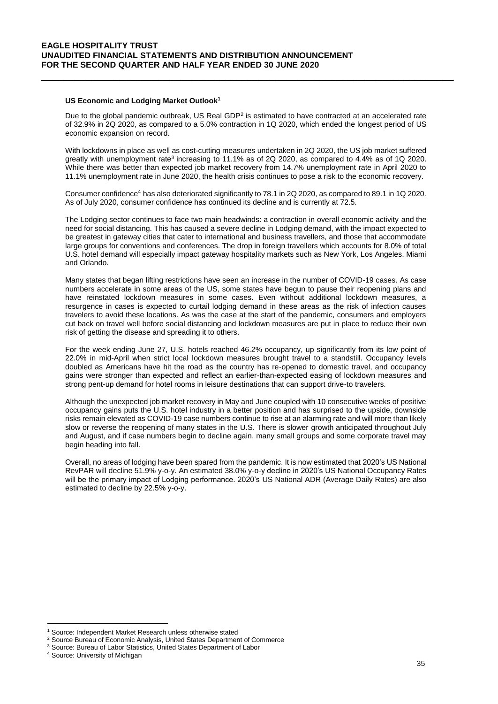#### **US Economic and Lodging Market Outlook<sup>1</sup>**

Due to the global pandemic outbreak, US Real GDP $2$  is estimated to have contracted at an accelerated rate of 32.9% in 2Q 2020, as compared to a 5.0% contraction in 1Q 2020, which ended the longest period of US economic expansion on record.

\_\_\_\_\_\_\_\_\_\_\_\_\_\_\_\_\_\_\_\_\_\_\_\_\_\_\_\_\_\_\_\_\_\_\_\_\_\_\_\_\_\_\_\_\_\_\_\_\_\_\_\_\_\_\_\_\_\_\_\_\_\_\_\_\_\_\_\_\_\_\_\_\_\_

With lockdowns in place as well as cost-cutting measures undertaken in 2Q 2020, the US job market suffered greatly with unemployment rate<sup>3</sup> increasing to 11.1% as of 2Q 2020, as compared to 4.4% as of 1Q 2020. While there was better than expected job market recovery from 14.7% unemployment rate in April 2020 to 11.1% unemployment rate in June 2020, the health crisis continues to pose a risk to the economic recovery.

Consumer confidence<sup>4</sup> has also deteriorated significantly to 78.1 in 2Q 2020, as compared to 89.1 in 1Q 2020. As of July 2020, consumer confidence has continued its decline and is currently at 72.5.

The Lodging sector continues to face two main headwinds: a contraction in overall economic activity and the need for social distancing. This has caused a severe decline in Lodging demand, with the impact expected to be greatest in gateway cities that cater to international and business travellers, and those that accommodate large groups for conventions and conferences. The drop in foreign travellers which accounts for 8.0% of total U.S. hotel demand will especially impact gateway hospitality markets such as New York, Los Angeles, Miami and Orlando.

Many states that began lifting restrictions have seen an increase in the number of COVID-19 cases. As case numbers accelerate in some areas of the US, some states have begun to pause their reopening plans and have reinstated lockdown measures in some cases. Even without additional lockdown measures, a resurgence in cases is expected to curtail lodging demand in these areas as the risk of infection causes travelers to avoid these locations. As was the case at the start of the pandemic, consumers and employers cut back on travel well before social distancing and lockdown measures are put in place to reduce their own risk of getting the disease and spreading it to others.

For the week ending June 27, U.S. hotels reached 46.2% occupancy, up significantly from its low point of 22.0% in mid-April when strict local lockdown measures brought travel to a standstill. Occupancy levels doubled as Americans have hit the road as the country has re-opened to domestic travel, and occupancy gains were stronger than expected and reflect an earlier-than-expected easing of lockdown measures and strong pent-up demand for hotel rooms in leisure destinations that can support drive-to travelers.

Although the unexpected job market recovery in May and June coupled with 10 consecutive weeks of positive occupancy gains puts the U.S. hotel industry in a better position and has surprised to the upside, downside risks remain elevated as COVID-19 case numbers continue to rise at an alarming rate and will more than likely slow or reverse the reopening of many states in the U.S. There is slower growth anticipated throughout July and August, and if case numbers begin to decline again, many small groups and some corporate travel may begin heading into fall.

Overall, no areas of lodging have been spared from the pandemic. It is now estimated that 2020's US National RevPAR will decline 51.9% y-o-y. An estimated 38.0% y-o-y decline in 2020's US National Occupancy Rates will be the primary impact of Lodging performance. 2020's US National ADR (Average Daily Rates) are also estimated to decline by 22.5% y-o-y.

1

<sup>&</sup>lt;sup>1</sup> Source: Independent Market Research unless otherwise stated

<sup>2</sup> Source Bureau of Economic Analysis, United States Department of Commerce

<sup>3</sup> Source: Bureau of Labor Statistics, United States Department of Labor

<sup>4</sup> Source: University of Michigan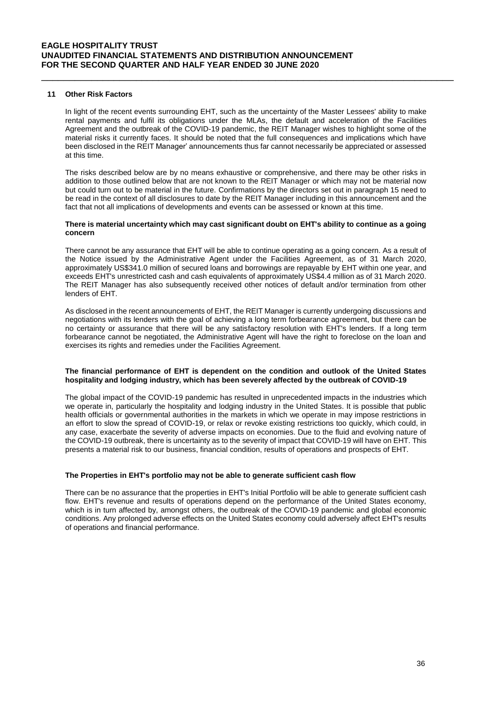#### **11 Other Risk Factors**

In light of the recent events surrounding EHT, such as the uncertainty of the Master Lessees' ability to make rental payments and fulfil its obligations under the MLAs, the default and acceleration of the Facilities Agreement and the outbreak of the COVID-19 pandemic, the REIT Manager wishes to highlight some of the material risks it currently faces. It should be noted that the full consequences and implications which have been disclosed in the REIT Manager' announcements thus far cannot necessarily be appreciated or assessed at this time.

\_\_\_\_\_\_\_\_\_\_\_\_\_\_\_\_\_\_\_\_\_\_\_\_\_\_\_\_\_\_\_\_\_\_\_\_\_\_\_\_\_\_\_\_\_\_\_\_\_\_\_\_\_\_\_\_\_\_\_\_\_\_\_\_\_\_\_\_\_\_\_\_\_\_

The risks described below are by no means exhaustive or comprehensive, and there may be other risks in addition to those outlined below that are not known to the REIT Manager or which may not be material now but could turn out to be material in the future. Confirmations by the directors set out in paragraph 15 need to be read in the context of all disclosures to date by the REIT Manager including in this announcement and the fact that not all implications of developments and events can be assessed or known at this time.

#### **There is material uncertainty which may cast significant doubt on EHT's ability to continue as a going concern**

There cannot be any assurance that EHT will be able to continue operating as a going concern. As a result of the Notice issued by the Administrative Agent under the Facilities Agreement, as of 31 March 2020, approximately US\$341.0 million of secured loans and borrowings are repayable by EHT within one year, and exceeds EHT's unrestricted cash and cash equivalents of approximately US\$4.4 million as of 31 March 2020. The REIT Manager has also subsequently received other notices of default and/or termination from other lenders of EHT.

As disclosed in the recent announcements of EHT, the REIT Manager is currently undergoing discussions and negotiations with its lenders with the goal of achieving a long term forbearance agreement, but there can be no certainty or assurance that there will be any satisfactory resolution with EHT's lenders. If a long term forbearance cannot be negotiated, the Administrative Agent will have the right to foreclose on the loan and exercises its rights and remedies under the Facilities Agreement.

### **The financial performance of EHT is dependent on the condition and outlook of the United States hospitality and lodging industry, which has been severely affected by the outbreak of COVID-19**

The global impact of the COVID-19 pandemic has resulted in unprecedented impacts in the industries which we operate in, particularly the hospitality and lodging industry in the United States. It is possible that public health officials or governmental authorities in the markets in which we operate in may impose restrictions in an effort to slow the spread of COVID-19, or relax or revoke existing restrictions too quickly, which could, in any case, exacerbate the severity of adverse impacts on economies. Due to the fluid and evolving nature of the COVID-19 outbreak, there is uncertainty as to the severity of impact that COVID-19 will have on EHT. This presents a material risk to our business, financial condition, results of operations and prospects of EHT.

### **The Properties in EHT's portfolio may not be able to generate sufficient cash flow**

There can be no assurance that the properties in EHT's Initial Portfolio will be able to generate sufficient cash flow. EHT's revenue and results of operations depend on the performance of the United States economy, which is in turn affected by, amongst others, the outbreak of the COVID-19 pandemic and global economic conditions. Any prolonged adverse effects on the United States economy could adversely affect EHT's results of operations and financial performance.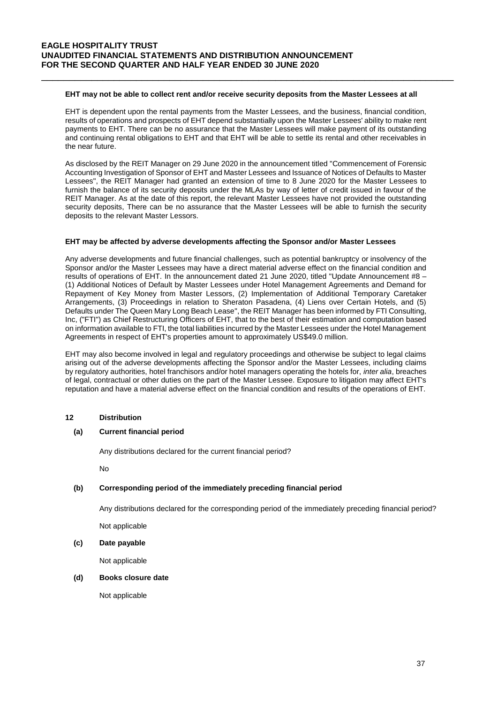#### **EHT may not be able to collect rent and/or receive security deposits from the Master Lessees at all**

\_\_\_\_\_\_\_\_\_\_\_\_\_\_\_\_\_\_\_\_\_\_\_\_\_\_\_\_\_\_\_\_\_\_\_\_\_\_\_\_\_\_\_\_\_\_\_\_\_\_\_\_\_\_\_\_\_\_\_\_\_\_\_\_\_\_\_\_\_\_\_\_\_\_

EHT is dependent upon the rental payments from the Master Lessees, and the business, financial condition, results of operations and prospects of EHT depend substantially upon the Master Lessees' ability to make rent payments to EHT. There can be no assurance that the Master Lessees will make payment of its outstanding and continuing rental obligations to EHT and that EHT will be able to settle its rental and other receivables in the near future.

As disclosed by the REIT Manager on 29 June 2020 in the announcement titled "Commencement of Forensic Accounting Investigation of Sponsor of EHT and Master Lessees and Issuance of Notices of Defaults to Master Lessees", the REIT Manager had granted an extension of time to 8 June 2020 for the Master Lessees to furnish the balance of its security deposits under the MLAs by way of letter of credit issued in favour of the REIT Manager. As at the date of this report, the relevant Master Lessees have not provided the outstanding security deposits. There can be no assurance that the Master Lessees will be able to furnish the security deposits to the relevant Master Lessors.

#### **EHT may be affected by adverse developments affecting the Sponsor and/or Master Lessees**

Any adverse developments and future financial challenges, such as potential bankruptcy or insolvency of the Sponsor and/or the Master Lessees may have a direct material adverse effect on the financial condition and results of operations of EHT. In the announcement dated 21 June 2020, titled "Update Announcement #8 – (1) Additional Notices of Default by Master Lessees under Hotel Management Agreements and Demand for Repayment of Key Money from Master Lessors, (2) Implementation of Additional Temporary Caretaker Arrangements, (3) Proceedings in relation to Sheraton Pasadena, (4) Liens over Certain Hotels, and (5) Defaults under The Queen Mary Long Beach Lease", the REIT Manager has been informed by FTI Consulting, Inc, ("FTI") as Chief Restructuring Officers of EHT, that to the best of their estimation and computation based on information available to FTI, the total liabilities incurred by the Master Lessees under the Hotel Management Agreements in respect of EHT's properties amount to approximately US\$49.0 million.

EHT may also become involved in legal and regulatory proceedings and otherwise be subject to legal claims arising out of the adverse developments affecting the Sponsor and/or the Master Lessees, including claims by regulatory authorities, hotel franchisors and/or hotel managers operating the hotels for, *inter alia*, breaches of legal, contractual or other duties on the part of the Master Lessee. Exposure to litigation may affect EHT's reputation and have a material adverse effect on the financial condition and results of the operations of EHT.

### **12 Distribution**

### **(a) Current financial period**

Any distributions declared for the current financial period?

No

## **(b) Corresponding period of the immediately preceding financial period**

Any distributions declared for the corresponding period of the immediately preceding financial period?

Not applicable

### **(c) Date payable**

Not applicable

### **(d) Books closure date**

Not applicable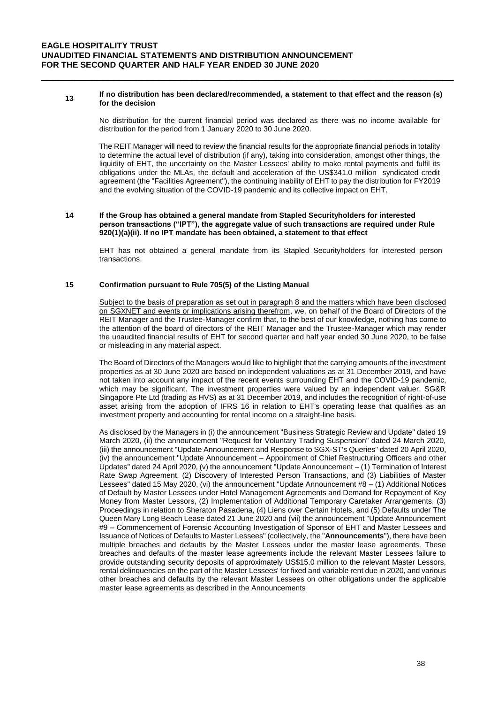#### **<sup>13</sup> If no distribution has been declared/recommended, a statement to that effect and the reason (s) for the decision**

\_\_\_\_\_\_\_\_\_\_\_\_\_\_\_\_\_\_\_\_\_\_\_\_\_\_\_\_\_\_\_\_\_\_\_\_\_\_\_\_\_\_\_\_\_\_\_\_\_\_\_\_\_\_\_\_\_\_\_\_\_\_\_\_\_\_\_\_\_\_\_\_\_\_

No distribution for the current financial period was declared as there was no income available for distribution for the period from 1 January 2020 to 30 June 2020.

The REIT Manager will need to review the financial results for the appropriate financial periods in totality to determine the actual level of distribution (if any), taking into consideration, amongst other things, the liquidity of EHT, the uncertainty on the Master Lessees' ability to make rental payments and fulfil its obligations under the MLAs, the default and acceleration of the US\$341.0 million syndicated credit agreement (the "Facilities Agreement"), the continuing inability of EHT to pay the distribution for FY2019 and the evolving situation of the COVID-19 pandemic and its collective impact on EHT.

#### **14 If the Group has obtained a general mandate from Stapled Securityholders for interested person transactions ("IPT"), the aggregate value of such transactions are required under Rule 920(1)(a)(ii). If no IPT mandate has been obtained, a statement to that effect**

EHT has not obtained a general mandate from its Stapled Securityholders for interested person transactions.

## **15 Confirmation pursuant to Rule 705(5) of the Listing Manual**

Subject to the basis of preparation as set out in paragraph 8 and the matters which have been disclosed on SGXNET and events or implications arising therefrom, we, on behalf of the Board of Directors of the REIT Manager and the Trustee-Manager confirm that, to the best of our knowledge, nothing has come to the attention of the board of directors of the REIT Manager and the Trustee-Manager which may render the unaudited financial results of EHT for second quarter and half year ended 30 June 2020, to be false or misleading in any material aspect.

The Board of Directors of the Managers would like to highlight that the carrying amounts of the investment properties as at 30 June 2020 are based on independent valuations as at 31 December 2019, and have not taken into account any impact of the recent events surrounding EHT and the COVID-19 pandemic, which may be significant. The investment properties were valued by an independent valuer, SG&R Singapore Pte Ltd (trading as HVS) as at 31 December 2019, and includes the recognition of right-of-use asset arising from the adoption of IFRS 16 in relation to EHT's operating lease that qualifies as an investment property and accounting for rental income on a straight-line basis.

As disclosed by the Managers in (i) the announcement "Business Strategic Review and Update" dated 19 March 2020, (ii) the announcement "Request for Voluntary Trading Suspension" dated 24 March 2020, (iii) the announcement "Update Announcement and Response to SGX-ST's Queries" dated 20 April 2020, (iv) the announcement "Update Announcement – Appointment of Chief Restructuring Officers and other Updates" dated 24 April 2020, (v) the announcement "Update Announcement – (1) Termination of Interest Rate Swap Agreement, (2) Discovery of Interested Person Transactions, and (3) Liabilities of Master Lessees" dated 15 May 2020, (vi) the announcement "Update Announcement #8 – (1) Additional Notices of Default by Master Lessees under Hotel Management Agreements and Demand for Repayment of Key Money from Master Lessors, (2) Implementation of Additional Temporary Caretaker Arrangements, (3) Proceedings in relation to Sheraton Pasadena, (4) Liens over Certain Hotels, and (5) Defaults under The Queen Mary Long Beach Lease dated 21 June 2020 and (vii) the announcement "Update Announcement #9 – Commencement of Forensic Accounting Investigation of Sponsor of EHT and Master Lessees and Issuance of Notices of Defaults to Master Lessees" (collectively, the "**Announcements**"), there have been multiple breaches and defaults by the Master Lessees under the master lease agreements. These breaches and defaults of the master lease agreements include the relevant Master Lessees failure to provide outstanding security deposits of approximately US\$15.0 million to the relevant Master Lessors, rental delinquencies on the part of the Master Lessees' for fixed and variable rent due in 2020, and various other breaches and defaults by the relevant Master Lessees on other obligations under the applicable master lease agreements as described in the Announcements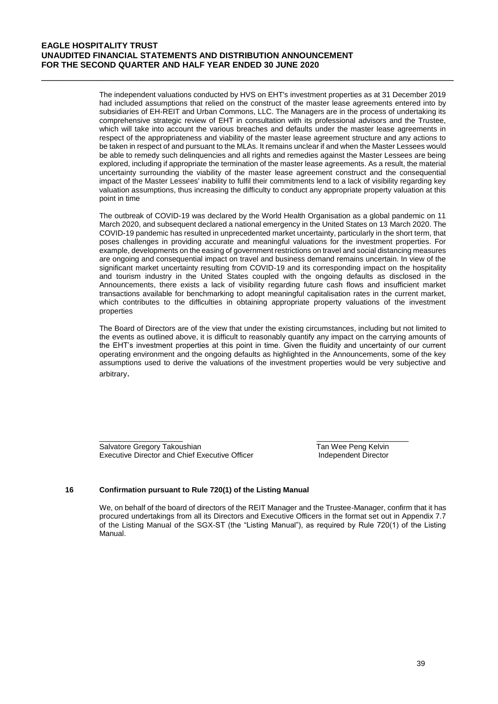The independent valuations conducted by HVS on EHT's investment properties as at 31 December 2019 had included assumptions that relied on the construct of the master lease agreements entered into by subsidiaries of EH-REIT and Urban Commons, LLC. The Managers are in the process of undertaking its comprehensive strategic review of EHT in consultation with its professional advisors and the Trustee, which will take into account the various breaches and defaults under the master lease agreements in respect of the appropriateness and viability of the master lease agreement structure and any actions to be taken in respect of and pursuant to the MLAs. It remains unclear if and when the Master Lessees would be able to remedy such delinguencies and all rights and remedies against the Master Lessees are being explored, including if appropriate the termination of the master lease agreements. As a result, the material uncertainty surrounding the viability of the master lease agreement construct and the consequential impact of the Master Lessees' inability to fulfil their commitments lend to a lack of visibility regarding key valuation assumptions, thus increasing the difficulty to conduct any appropriate property valuation at this point in time

\_\_\_\_\_\_\_\_\_\_\_\_\_\_\_\_\_\_\_\_\_\_\_\_\_\_\_\_\_\_\_\_\_\_\_\_\_\_\_\_\_\_\_\_\_\_\_\_\_\_\_\_\_\_\_\_\_\_\_\_\_\_\_\_\_\_\_\_\_\_\_\_\_\_

The outbreak of COVID-19 was declared by the World Health Organisation as a global pandemic on 11 March 2020, and subsequent declared a national emergency in the United States on 13 March 2020. The COVID-19 pandemic has resulted in unprecedented market uncertainty, particularly in the short term, that poses challenges in providing accurate and meaningful valuations for the investment properties. For example, developments on the easing of government restrictions on travel and social distancing measures are ongoing and consequential impact on travel and business demand remains uncertain. In view of the significant market uncertainty resulting from COVID-19 and its corresponding impact on the hospitality and tourism industry in the United States coupled with the ongoing defaults as disclosed in the Announcements, there exists a lack of visibility regarding future cash flows and insufficient market transactions available for benchmarking to adopt meaningful capitalisation rates in the current market, which contributes to the difficulties in obtaining appropriate property valuations of the investment properties

The Board of Directors are of the view that under the existing circumstances, including but not limited to the events as outlined above, it is difficult to reasonably quantify any impact on the carrying amounts of the EHT's investment properties at this point in time. Given the fluidity and uncertainty of our current operating environment and the ongoing defaults as highlighted in the Announcements, some of the key assumptions used to derive the valuations of the investment properties would be very subjective and arbitrary.

Salvatore Gregory Takoushian Tan Wee Peng Kelvin Executive Director and Chief Executive Officer **Independent Director** 

## **16 Confirmation pursuant to Rule 720(1) of the Listing Manual**

We, on behalf of the board of directors of the REIT Manager and the Trustee-Manager, confirm that it has procured undertakings from all its Directors and Executive Officers in the format set out in Appendix 7.7 of the Listing Manual of the SGX-ST (the "Listing Manual"), as required by Rule 720(1) of the Listing Manual.

 $\frac{1}{2}$  , the contribution of the contribution of the contribution of the contribution of the contribution of the contribution of the contribution of the contribution of the contribution of the contribution of the contr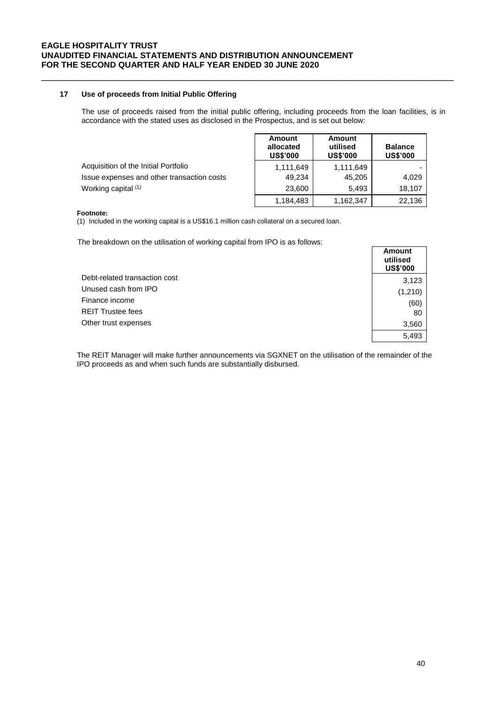## **17 Use of proceeds from Initial Public Offering**

The use of proceeds raised from the initial public offering, including proceeds from the loan facilities, is in accordance with the stated uses as disclosed in the Prospectus, and is set out below:

|                                            | Amount<br>allocated<br><b>US\$'000</b> | Amount<br>utilised<br><b>US\$'000</b> | <b>Balance</b><br><b>US\$'000</b> |
|--------------------------------------------|----------------------------------------|---------------------------------------|-----------------------------------|
| Acquisition of the Initial Portfolio       | 1,111,649                              | 1,111,649                             |                                   |
| Issue expenses and other transaction costs | 49.234                                 | 45,205                                | 4.029                             |
| Working capital (1)                        | 23,600                                 | 5.493                                 | 18.107                            |
|                                            | 1,184,483                              | 1,162,347                             | 22,136                            |

\_\_\_\_\_\_\_\_\_\_\_\_\_\_\_\_\_\_\_\_\_\_\_\_\_\_\_\_\_\_\_\_\_\_\_\_\_\_\_\_\_\_\_\_\_\_\_\_\_\_\_\_\_\_\_\_\_\_\_\_\_\_\_\_\_\_\_\_\_\_\_\_\_\_

#### **Footnote:**

(1) Included in the working capital is a US\$16.1 million cash collateral on a secured loan.

The breakdown on the utilisation of working capital from IPO is as follows:

|                               | Amount<br>utilised<br><b>US\$'000</b> |
|-------------------------------|---------------------------------------|
| Debt-related transaction cost | 3,123                                 |
| Unused cash from IPO          | (1,210)                               |
| Finance income                | (60)                                  |
| <b>REIT Trustee fees</b>      | 80                                    |
| Other trust expenses          | 3,560                                 |
|                               | 5,493                                 |

The REIT Manager will make further announcements via SGXNET on the utilisation of the remainder of the IPO proceeds as and when such funds are substantially disbursed.